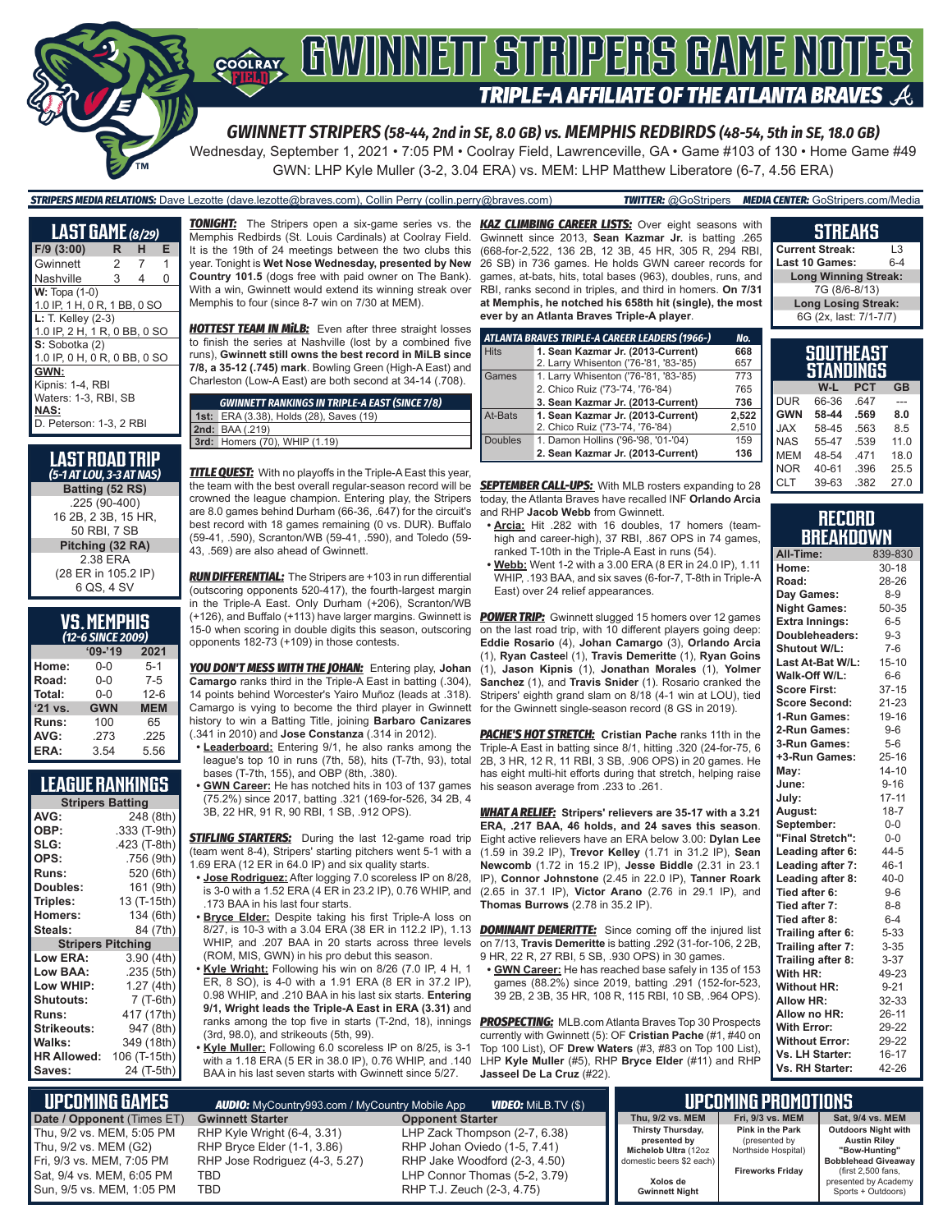

Wednesday, September 1, 2021 • 7:05 PM • Coolray Field, Lawrenceville, GA • Game #103 of 130 • Home Game #49 GWN: LHP Kyle Muller (3-2, 3.04 ERA) vs. MEM: LHP Matthew Liberatore (6-7, 4.56 ERA)

#### *STRIPERS MEDIA RELATIONS:* Dave Lezotte (dave.lezotte@braves.com), Collin Perry (collin.perry@braves.com) *TWITTER:* @GoStripers *MEDIA CENTER:* GoStripers.com/Media

| <b>LAST GAME</b> (8/29)                                                                    |   |   |   |
|--------------------------------------------------------------------------------------------|---|---|---|
| $F/9$ (3:00)                                                                               | R | н | Е |
| Gwinnett                                                                                   | 2 | 7 | 1 |
| Nashville                                                                                  | 3 | 4 | O |
| $W: Topa (1-0)$<br>1.0 IP, 1 H, 0 R, 1 BB, 0 SO                                            |   |   |   |
| L: T. Kelley (2-3)<br>1.0 IP, 2 H, 1 R, 0 BB, 0 SO                                         |   |   |   |
| S: Sobotka (2)<br>1.0 IP, 0 H, 0 R, 0 BB, 0 SO                                             |   |   |   |
| GWN:<br>Kipnis: 1-4, RBI<br>Waters: 1-3, RBI, SB<br><b>NAS:</b><br>D. Peterson: 1-3, 2 RBI |   |   |   |

#### **LAST RoAD TRIP** *(5-1 AT LOU, 3-3 AT NAS)* **Batting (52 RS)** .225 (90-400) 16 2B, 2 3B, 15 HR,

50 RBI, 7 SB **Pitching (32 RA)** 2.38 ERA (28 ER in 105.2 IP) 6 QS, 4 SV

# **VS. MEMPHIS**

| (12 <sup>-</sup> 0 JINCE 2007) |            |            |  |  |
|--------------------------------|------------|------------|--|--|
|                                | $'09-'19$  | 2021       |  |  |
| Home:                          | $0 - 0$    | $5-1$      |  |  |
| Road:                          | $0 - 0$    | $7-5$      |  |  |
| Total:                         | $0 - 0$    | $12-6$     |  |  |
| $'21$ vs.                      | <b>GWN</b> | <b>MEM</b> |  |  |
| Runs:                          | 100        | 65         |  |  |
| AVG:                           | .273       | .225       |  |  |
| ERA:                           | 3.54       | 5.56       |  |  |

#### **LEAGUE RANKINGS**

|                    | <b>Stripers Batting</b> |  |  |  |
|--------------------|-------------------------|--|--|--|
| AVG:               | 248 (8th)               |  |  |  |
| OBP:               | .333 (T-9th)            |  |  |  |
| SLG:               | .423 (T-8th)            |  |  |  |
| OPS:               | .756 (9th)              |  |  |  |
| <b>Runs:</b>       | 520 (6th)               |  |  |  |
| Doubles:           | 161 (9th)               |  |  |  |
| Triples:           | 13 (T-15th)             |  |  |  |
| <b>Homers:</b>     | 134 (6th)               |  |  |  |
| Steals:            | 84 (7th)                |  |  |  |
| <b>Stripers</b>    | <b>Pitching</b>         |  |  |  |
| <b>Low ERA:</b>    | 3.90 (4th)              |  |  |  |
| <b>Low BAA:</b>    | .235 (5th)              |  |  |  |
| Low WHIP:          | 1.27 (4th)              |  |  |  |
| Shutouts:          | $7(T-6th)$              |  |  |  |
| <b>Runs:</b>       | 417 (17th)              |  |  |  |
| <b>Strikeouts:</b> | 947 (8th)               |  |  |  |
| Walks:             | 349 (18th)              |  |  |  |
| <b>HR Allowed:</b> | 106 (T-15th)            |  |  |  |
| Saves:             | 24 (T-5th)              |  |  |  |

Memphis Redbirds (St. Louis Cardinals) at Coolray Field. It is the 19th of 24 meetings between the two clubs this year. Tonight is **Wet Nose Wednesday, presented by New Country 101.5** (dogs free with paid owner on The Bank). With a win, Gwinnett would extend its winning streak over Memphis to four (since 8-7 win on 7/30 at MEM).

**HOTTEST TEAM IN MILB:** Even after three straight losses to finish the series at Nashville (lost by a combined five runs), **Gwinnett still owns the best record in MiLB since 7/8, a 35-12 (.745) mark**. Bowling Green (High-A East) and Charleston (Low-A East) are both second at 34-14 (.708).

| <b>GWINNETT RANKINGS IN TRIPLE-A EAST (SINCE 7/8)</b> |
|-------------------------------------------------------|
| 1st: ERA (3.38), Holds (28), Saves (19)               |
| 2nd: BAA (.219)                                       |
| 3rd: Homers (70), WHIP (1.19)                         |

*TITLE QUEST:* With no playoffs in the Triple-A East this year, the team with the best overall regular-season record will be crowned the league champion. Entering play, the Stripers are 8.0 games behind Durham (66-36, .647) for the circuit's best record with 18 games remaining (0 vs. DUR). Buffalo (59-41, .590), Scranton/WB (59-41, .590), and Toledo (59- 43, .569) are also ahead of Gwinnett.

*RUN DIFFERENTIAL:* The Stripers are +103 in run differential (outscoring opponents 520-417), the fourth-largest margin in the Triple-A East. Only Durham (+206), Scranton/WB (+126), and Buffalo (+113) have larger margins. Gwinnett is 15-0 when scoring in double digits this season, outscoring opponents 182-73 (+109) in those contests.

*YOU DON'T MESS WITH THE JOHAN:* Entering play, **Johan Camargo** ranks third in the Triple-A East in batting (.304), 14 points behind Worcester's Yairo Muñoz (leads at .318). Camargo is vying to become the third player in Gwinnett history to win a Batting Title, joining **Barbaro Canizares** (.341 in 2010) and **Jose Constanza** (.314 in 2012).

- **• Leaderboard:** Entering 9/1, he also ranks among the league's top 10 in runs (7th, 58), hits (T-7th, 93), total bases (T-7th, 155), and OBP (8th, .380).
- **• GWN Career:** He has notched hits in 103 of 137 games his season average from .233 to .261. (75.2%) since 2017, batting .321 (169-for-526, 34 2B, 4 3B, 22 HR, 91 R, 90 RBI, 1 SB, .912 OPS).

**STIFLING STARTERS:** During the last 12-game road trip (team went 8-4), Stripers' starting pitchers went 5-1 with a 1.69 ERA (12 ER in 64.0 IP) and six quality starts.

- **• Jose Rodriguez:** After logging 7.0 scoreless IP on 8/28, is 3-0 with a 1.52 ERA (4 ER in 23.2 IP), 0.76 WHIP, and .173 BAA in his last four starts.
- **• Bryce Elder:** Despite taking his first Triple-A loss on 8/27, is 10-3 with a 3.04 ERA (38 ER in 112.2 IP), 1.13 WHIP, and .207 BAA in 20 starts across three levels (ROM, MIS, GWN) in his pro debut this season.

**• Kyle Wright:** Following his win on 8/26 (7.0 IP, 4 H, 1 ER, 8 SO), is 4-0 with a 1.91 ERA (8 ER in 37.2 IP), 0.98 WHIP, and .210 BAA in his last six starts. **Entering 9/1, Wright leads the Triple-A East in ERA (3.31)** and ranks among the top five in starts (T-2nd, 18), innings (3rd, 98.0), and strikeouts (5th, 99).

**• Kyle Muller:** Following 6.0 scoreless IP on 8/25, is 3-1 with a 1.18 ERA (5 ER in 38.0 IP), 0.76 WHIP, and .140 BAA in his last seven starts with Gwinnett since 5/27.

*TONIGHT:* The Stripers open a six-game series vs. the *KAZ CLIMBING CAREER LISTS:* Over eight seasons with Gwinnett since 2013, **Sean Kazmar Jr.** is batting .265 (668-for-2,522, 136 2B, 12 3B, 45 HR, 305 R, 294 RBI, 26 SB) in 736 games. He holds GWN career records for games, at-bats, hits, total bases (963), doubles, runs, and RBI, ranks second in triples, and third in homers. **On 7/31 at Memphis, he notched his 658th hit (single), the most ever by an Atlanta Braves Triple-A player**.

| ATLANTA BRAVES TRIPLE-A CAREER LEADERS (1966-) | No.                                   |
|------------------------------------------------|---------------------------------------|
| 1. Sean Kazmar Jr. (2013-Current)              | 668                                   |
|                                                | 657                                   |
| 1. Larry Whisenton ('76-'81, '83-'85)          | 773                                   |
| 2. Chico Ruiz ('73-'74, '76-'84)               | 765                                   |
| 3. Sean Kazmar Jr. (2013-Current)              | 736                                   |
| 1. Sean Kazmar Jr. (2013-Current)              | 2.522                                 |
| 2. Chico Ruiz ('73-'74, '76-'84)               | 2,510                                 |
| 1. Damon Hollins ('96-'98, '01-'04)            | 159                                   |
| 2. Sean Kazmar Jr. (2013-Current)              | 136                                   |
|                                                | 2. Larry Whisenton ('76-'81, '83-'85) |

**SEPTEMBER CALL-UPS:** With MLB rosters expanding to 28 today, the Atlanta Braves have recalled INF **Orlando Arcia** and RHP **Jacob Webb** from Gwinnett.

- **• Arcia:** Hit .282 with 16 doubles, 17 homers (teamhigh and career-high), 37 RBI, .867 OPS in 74 games, ranked T-10th in the Triple-A East in runs (54).
- **• Webb:** Went 1-2 with a 3.00 ERA (8 ER in 24.0 IP), 1.11 WHIP, .193 BAA, and six saves (6-for-7, T-8th in Triple-A East) over 24 relief appearances.

**POWER TRIP:** Gwinnett slugged 15 homers over 12 games on the last road trip, with 10 different players going deep: **Eddie Rosario** (4), **Johan Camargo** (3), **Orlando Arcia** (1), **Ryan Castee**l (1), **Travis Demeritte** (1), **Ryan Goins** (1), **Jason Kipnis** (1), **Jonathan Morales** (1), **Yolmer Sanchez** (1), and **Travis Snider** (1). Rosario cranked the Stripers' eighth grand slam on 8/18 (4-1 win at LOU), tied for the Gwinnett single-season record (8 GS in 2019).

**PACHE'S HOT STRETCH:** Cristian Pache ranks 11th in the Triple-A East in batting since 8/1, hitting .320 (24-for-75, 6 2B, 3 HR, 12 R, 11 RBI, 3 SB, .906 OPS) in 20 games. He has eight multi-hit efforts during that stretch, helping raise

*WHAT A RELIEF:* **Stripers' relievers are 35-17 with a 3.21 ERA, .217 BAA, 46 holds, and 24 saves this season**. Eight active relievers have an ERA below 3.00: **Dylan Lee** (1.59 in 39.2 IP), **Trevor Kelley** (1.71 in 31.2 IP), **Sean Newcomb** (1.72 in 15.2 IP), **Jesse Biddle** (2.31 in 23.1 IP), **Connor Johnstone** (2.45 in 22.0 IP), **Tanner Roark** (2.65 in 37.1 IP), **Victor Arano** (2.76 in 29.1 IP), and **Thomas Burrows** (2.78 in 35.2 IP).

**DOMINANT DEMERITTE:** Since coming off the injured list on 7/13, **Travis Demeritte** is batting .292 (31-for-106, 2 2B, 9 HR, 22 R, 27 RBI, 5 SB, .930 OPS) in 30 games.

**• GWN Career:** He has reached base safely in 135 of 153 games (88.2%) since 2019, batting .291 (152-for-523, 39 2B, 2 3B, 35 HR, 108 R, 115 RBI, 10 SB, .964 OPS).

*PROSPECTING:* MLB.com Atlanta Braves Top 30 Prospects currently with Gwinnett (5): OF **Cristian Pache** (#1, #40 on Top 100 List), OF **Drew Waters** (#3, #83 on Top 100 List), LHP **Kyle Muller** (#5), RHP **Bryce Elder** (#11) and RHP **Jasseel De La Cruz** (#22).

#### **STREAKS Current Streak:** L3 **Last 10 Games: Long Winning Streak:** 7G (8/6-8/13)

**Long Losing Streak:** 6G (2x, last: 7/1-7/7)

|            | SOUTHEAST<br>STANDINGS |            |           |
|------------|------------------------|------------|-----------|
|            | W-L                    | <b>PCT</b> | <b>GB</b> |
| <b>DUR</b> | 66-36                  | .647       |           |
| <b>GWN</b> | 58-44                  | .569       | 8.0       |
| <b>JAX</b> | 58-45                  | .563       | 8.5       |
| <b>NAS</b> | 55-47                  | .539       | 11.0      |
| <b>MEM</b> | 48-54                  | .471       | 18.0      |
| <b>NOR</b> | 40-61                  | .396       | 25.5      |
| <b>CLT</b> | 39-63                  | .382       | 27.0      |

#### **RECORD BREAKDOWN**

| All-Time:             | 839-830   |
|-----------------------|-----------|
| Home:                 | $30 - 18$ |
| Road:                 | 28-26     |
| Day Games:            | $8 - 9$   |
| <b>Night Games:</b>   | 50-35     |
| <b>Extra Innings:</b> | $6 - 5$   |
| Doubleheaders:        | $9 - 3$   |
| Shutout W/L:          | $7-6$     |
| Last At-Bat W/L:      | $15 - 10$ |
| Walk-Off W/L:         | $6-6$     |
| <b>Score First:</b>   | $37 - 15$ |
| <b>Score Second:</b>  | $21 - 23$ |
| 1-Run Games:          | $19 - 16$ |
| 2-Run Games:          | $9 - 6$   |
| 3-Run Games:          | $5-6$     |
| +3-Run Games:         | $25 - 16$ |
| May:                  | $14 - 10$ |
| June:                 | $9 - 16$  |
| July:                 | $17 - 11$ |
| August:               | $18 - 7$  |
| September:            | $0-0$     |
| "Final Stretch":      | $0-0$     |
| Leading after 6:      | 44-5      |
| Leading after 7:      | $46 - 1$  |
| Leading after 8:      | $40 - 0$  |
| Tied after 6:         | $9-6$     |
| Tied after 7:         | $8 - 8$   |
| Tied after 8:         | $6 - 4$   |
| Trailing after 6:     | $5 - 33$  |
| Trailing after 7:     | $3 - 35$  |
| Trailing after 8:     | $3 - 37$  |
| With HR:              | 49-23     |
| <b>Without HR:</b>    | $9 - 21$  |
| <b>Allow HR:</b>      | 32-33     |
| Allow no HR:          | 26-11     |
| <b>With Error:</b>    | 29-22     |
| <b>Without Error:</b> | 29-22     |
| Vs. LH Starter:       | $16 - 17$ |
| Vs. RH Starter:       | 42-26     |

| <b>UPCOMING GAMES</b>                                  | <b>AUDIO:</b> MyCountry993.com / MyCountry Mobile App<br><b>VIDEO: MILB.TV (\$)</b> |                                                               |                                                           | <b>ILIPCOMING PROMOTIONS '</b>                           |                                                                    |  |
|--------------------------------------------------------|-------------------------------------------------------------------------------------|---------------------------------------------------------------|-----------------------------------------------------------|----------------------------------------------------------|--------------------------------------------------------------------|--|
| Date / Opponent (Times ET)                             | <b>Gwinnett Starter</b>                                                             | <b>Opponent Starter</b>                                       | Thu. 9/2 vs. MEM                                          | Fri. 9/3 vs. MEM                                         | Sat. 9/4 vs. MEM                                                   |  |
| Thu, 9/2 vs. MEM, 5:05 PM<br>Thu, 9/2 vs. MEM (G2)     | RHP Kyle Wright (6-4, 3.31)<br>RHP Bryce Elder (1-1, 3.86)                          | LHP Zack Thompson (2-7, 6.38)<br>RHP Johan Oviedo (1-5, 7.41) | Thirsty Thursday,<br>presented by<br>Michelob Ultra (12oz | Pink in the Park<br>(presented by<br>Northside Hospital) | <b>Outdoors Night with</b><br><b>Austin Rilev</b><br>"Bow-Hunting" |  |
| Fri, 9/3 vs. MEM, 7:05 PM                              | RHP Jose Rodriguez (4-3, 5.27)                                                      | RHP Jake Woodford (2-3, 4.50)                                 | domestic beers \$2 each)                                  |                                                          | <b>Bobblehead Giveaway</b>                                         |  |
| Sat, 9/4 vs. MEM, 6:05 PM<br>Sun, 9/5 vs. MEM, 1:05 PM | TBD<br>TBD                                                                          | LHP Connor Thomas (5-2, 3.79)<br>RHP T.J. Zeuch (2-3, 4.75)   | Xolos de<br><b>Gwinnett Night</b>                         | <b>Fireworks Fridav</b>                                  | (first 2,500 fans,<br>presented by Academy<br>Sports + Outdoors)   |  |

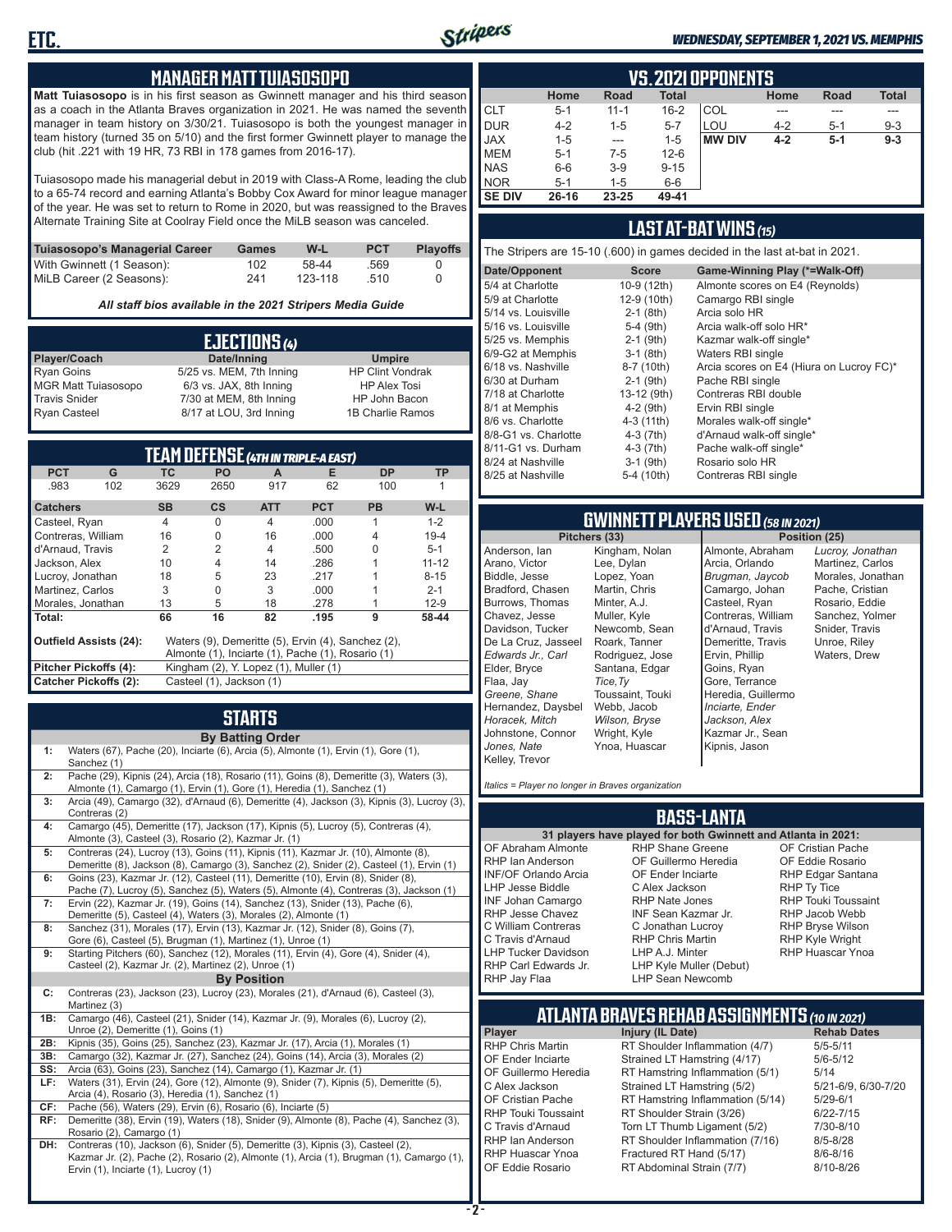

#### *WEDNESDAY, SEPTEMBER 1, 2021 VS. MEMPHIS*

#### **MANAGER MATT TUIASOSOPO**

**Matt Tuiasosopo** is in his first season as Gwinnett manager and his third season as a coach in the Atlanta Braves organization in 2021. He was named the seventh manager in team history on 3/30/21. Tuiasosopo is both the youngest manager in team history (turned 35 on 5/10) and the first former Gwinnett player to manage the club (hit .221 with 19 HR, 73 RBI in 178 games from 2016-17).

Tuiasosopo made his managerial debut in 2019 with Class-A Rome, leading the club to a 65-74 record and earning Atlanta's Bobby Cox Award for minor league manager of the year. He was set to return to Rome in 2020, but was reassigned to the Braves Alternate Training Site at Coolray Field once the MiLB season was canceled.

| Tuiasosopo's Managerial Career | Games | W-L     | <b>PCT</b> | <b>Plavoffs</b> |
|--------------------------------|-------|---------|------------|-----------------|
| With Gwinnett (1 Season):      | 102   | 58-44   | .569       |                 |
| MiLB Career (2 Seasons):       | 241   | 123-118 | -510       |                 |

*All staff bios available in the 2021 Stripers Media Guide*

|                            | EJECTIONS (4)            |                         |
|----------------------------|--------------------------|-------------------------|
| Player/Coach               | Date/Inning              | <b>Umpire</b>           |
| <b>Ryan Goins</b>          | 5/25 vs. MEM, 7th Inning | <b>HP Clint Vondrak</b> |
| <b>MGR Matt Tuiasosopo</b> | 6/3 vs. JAX, 8th Inning  | <b>HP Alex Tosi</b>     |
| <b>Travis Snider</b>       | 7/30 at MEM, 8th Inning  | HP John Bacon           |
| <b>Ryan Casteel</b>        | 8/17 at LOU, 3rd Inning  | 1B Charlie Ramos        |

| TEAM DEFENSE (4TH IN TRIPLE-A EAST) |     |                |                                       |                |                                                    |           |           |
|-------------------------------------|-----|----------------|---------------------------------------|----------------|----------------------------------------------------|-----------|-----------|
| <b>PCT</b>                          | G   | <b>TC</b>      | <b>PO</b>                             | A              | Е                                                  | <b>DP</b> | TP        |
| .983                                | 102 | 3629           | 2650                                  | 917            | 62                                                 | 100       |           |
| <b>Catchers</b>                     |     | <b>SB</b>      | <b>CS</b>                             | <b>ATT</b>     | <b>PCT</b>                                         | <b>PB</b> | W-L       |
| Casteel, Ryan                       |     | $\overline{4}$ | O                                     | 4              | .000                                               |           | $1 - 2$   |
| Contreras, William                  |     | 16             | O                                     | 16             | .000                                               | 4         | $19 - 4$  |
| d'Arnaud, Travis                    |     | 2              | 2                                     | $\overline{4}$ | .500                                               |           | $5 - 1$   |
| Jackson, Alex                       |     | 10             | 4                                     | 14             | .286                                               |           | $11 - 12$ |
| Lucroy, Jonathan                    |     | 18             | 5                                     | 23             | .217                                               |           | $8 - 15$  |
| Martinez. Carlos                    |     | 3              | O                                     | 3              | .000                                               |           | $2 - 1$   |
| Morales, Jonathan                   |     | 13             | 5                                     | 18             | .278                                               |           | $12-9$    |
| Total:                              |     | 66             | 16                                    | 82             | .195                                               | 9         | 58-44     |
| <b>Outfield Assists (24):</b>       |     |                |                                       |                | Waters (9), Demeritte (5), Ervin (4), Sanchez (2), |           |           |
|                                     |     |                |                                       |                | Almonte (1), Inciarte (1), Pache (1), Rosario (1)  |           |           |
| Pitcher Pickoffs (4):               |     |                | Kingham (2), Y. Lopez (1), Muller (1) |                |                                                    |           |           |
| <b>Catcher Pickoffs (2):</b>        |     |                | Casteel (1), Jackson (1)              |                |                                                    |           |           |

# **STARTS**

|     | <b>By Batting Order</b>                                                                                                                                                                                              |
|-----|----------------------------------------------------------------------------------------------------------------------------------------------------------------------------------------------------------------------|
| 1:  | Waters (67), Pache (20), Inciarte (6), Arcia (5), Almonte (1), Ervin (1), Gore (1),<br>Sanchez (1)                                                                                                                   |
| 2:  | Pache (29), Kipnis (24), Arcia (18), Rosario (11), Goins (8), Demeritte (3), Waters (3),<br>Almonte (1), Camargo (1), Ervin (1), Gore (1), Heredia (1), Sanchez (1)                                                  |
| 3:  | Arcia (49), Camargo (32), d'Arnaud (6), Demeritte (4), Jackson (3), Kipnis (3), Lucroy (3),<br>Contreras (2)                                                                                                         |
| 4:  | Camargo (45), Demeritte (17), Jackson (17), Kipnis (5), Lucroy (5), Contreras (4),<br>Almonte (3), Casteel (3), Rosario (2), Kazmar Jr. (1)                                                                          |
| 5:  | Contreras (24), Lucroy (13), Goins (11), Kipnis (11), Kazmar Jr. (10), Almonte (8),<br>Demeritte (8), Jackson (8), Camargo (3), Sanchez (2), Snider (2), Casteel (1), Ervin (1)                                      |
| 6:  | Goins (23), Kazmar Jr. (12), Casteel (11), Demeritte (10), Ervin (8), Snider (8),<br>Pache (7), Lucroy (5), Sanchez (5), Waters (5), Almonte (4), Contreras (3), Jackson (1)                                         |
| 7:  | Ervin (22), Kazmar Jr. (19), Goins (14), Sanchez (13), Snider (13), Pache (6),<br>Demeritte (5), Casteel (4), Waters (3), Morales (2), Almonte (1)                                                                   |
| 8:  | Sanchez (31), Morales (17), Ervin (13), Kazmar Jr. (12), Snider (8), Goins (7),<br>Gore (6), Casteel (5), Brugman (1), Martinez (1), Unroe (1)                                                                       |
| 9:  | Starting Pitchers (60), Sanchez (12), Morales (11), Ervin (4), Gore (4), Snider (4),<br>Casteel (2), Kazmar Jr. (2), Martinez (2), Unroe (1)                                                                         |
|     | <b>By Position</b>                                                                                                                                                                                                   |
| C:  | Contreras (23), Jackson (23), Lucroy (23), Morales (21), d'Arnaud (6), Casteel (3),<br>Martinez (3)                                                                                                                  |
| 1B: | Camargo (46), Casteel (21), Snider (14), Kazmar Jr. (9), Morales (6), Lucroy (2),<br>Unroe (2), Demeritte (1), Goins (1)                                                                                             |
| 2B: | Kipnis (35), Goins (25), Sanchez (23), Kazmar Jr. (17), Arcia (1), Morales (1)                                                                                                                                       |
| 3B: | Camargo (32), Kazmar Jr. (27), Sanchez (24), Goins (14), Arcia (3), Morales (2)                                                                                                                                      |
| SS: | Arcia (63), Goins (23), Sanchez (14), Camargo (1), Kazmar Jr. (1)                                                                                                                                                    |
| LF: | Waters (31), Ervin (24), Gore (12), Almonte (9), Snider (7), Kipnis (5), Demeritte (5),                                                                                                                              |
| CF: | Arcia (4), Rosario (3), Heredia (1), Sanchez (1)<br>Pache (56), Waters (29), Ervin (6), Rosario (6), Inciarte (5)                                                                                                    |
| RF: | Demeritte (38), Ervin (19), Waters (18), Snider (9), Almonte (8), Pache (4), Sanchez (3),                                                                                                                            |
|     | Rosario (2), Camargo (1)                                                                                                                                                                                             |
| DH: | Contreras (10), Jackson (6), Snider (5), Demeritte (3), Kipnis (3), Casteel (2),<br>Kazmar Jr. (2), Pache (2), Rosario (2), Almonte (1), Arcia (1), Brugman (1), Camargo (1),<br>Ervin (1), Inciarte (1), Lucroy (1) |

|               | <b>VS. 2021 OPPONENTS</b> |             |              |               |         |             |              |  |  |  |  |  |
|---------------|---------------------------|-------------|--------------|---------------|---------|-------------|--------------|--|--|--|--|--|
|               | Home                      | <b>Road</b> | <b>Total</b> |               | Home    | <b>Road</b> | <b>Total</b> |  |  |  |  |  |
| <b>CLT</b>    | $5 - 1$                   | $11 - 1$    | $16 - 2$     | COL           |         |             | ---          |  |  |  |  |  |
| <b>DUR</b>    | $4 - 2$                   | 1-5         | $5 - 7$      | LOU           | $4 - 2$ | $5 - 1$     | $9 - 3$      |  |  |  |  |  |
| <b>JAX</b>    | $1 - 5$                   | $- - -$     | $1 - 5$      | <b>MW DIV</b> | $4 - 2$ | $5-1$       | $9 - 3$      |  |  |  |  |  |
| <b>MEM</b>    | $5 - 1$                   | $7-5$       | $12 - 6$     |               |         |             |              |  |  |  |  |  |
| <b>NAS</b>    | $6-6$                     | $3-9$       | $9 - 15$     |               |         |             |              |  |  |  |  |  |
| <b>NOR</b>    | $5 - 1$                   | $1 - 5$     | $6-6$        |               |         |             |              |  |  |  |  |  |
| <b>SE DIV</b> | 26-16                     | 23-25       | 49-41        |               |         |             |              |  |  |  |  |  |

#### **LAST AT-BAT WINS** *(15)*

The Stripers are 15-10 (.600) in games decided in the last at-bat in 2021.

| Date/Opponent        | <b>Score</b> | Game-Winning Play (*=Walk-Off)           |
|----------------------|--------------|------------------------------------------|
| 5/4 at Charlotte     | 10-9 (12th)  | Almonte scores on E4 (Reynolds)          |
| 5/9 at Charlotte     | 12-9 (10th)  | Camargo RBI single                       |
| 5/14 vs. Louisville  | $2-1$ (8th)  | Arcia solo HR                            |
| 5/16 vs. Louisville  | 5-4 (9th)    | Arcia walk-off solo HR*                  |
| 5/25 vs. Memphis     | $2-1$ (9th)  | Kazmar walk-off single*                  |
| 6/9-G2 at Memphis    | $3-1$ (8th)  | Waters RBI single                        |
| 6/18 vs. Nashville   | 8-7 (10th)   | Arcia scores on E4 (Hiura on Lucroy FC)* |
| 6/30 at Durham       | $2-1$ (9th)  | Pache RBI single                         |
| 7/18 at Charlotte    | 13-12 (9th)  | Contreras RBI double                     |
| 8/1 at Memphis       | $4-2$ (9th)  | Ervin RBI single                         |
| 8/6 vs. Charlotte    | $4-3(11th)$  | Morales walk-off single*                 |
| 8/8-G1 vs. Charlotte | $4-3$ (7th)  | d'Arnaud walk-off single*                |
| 8/11-G1 vs. Durham   | $4-3(7th)$   | Pache walk-off single*                   |
| 8/24 at Nashville    | $3-1$ (9th)  | Rosario solo HR                          |
| 8/25 at Nashville    | 5-4 (10th)   | Contreras RBI single                     |
|                      |              |                                          |

# **GWINNETT PLAYERS USED** *(58 IN 2021)*

**Pitchers (33)** Anderson, Ian Arano, Victor Biddle, Jesse Bradford, Chasen Burrows, Thomas Chavez, Jesse Davidson, Tucker De La Cruz, Jasseel *Edwards Jr., Carl* Elder, Bryce Flaa, Jay *Greene, Shane*  Hernandez, Daysbel *Horacek, Mitch* Johnstone, Connor *Jones, Nate* Kelley, Trevor Kingham, Nolan Lee, Dylan Lopez, Yoan Martin, Chris Minter, A.J. Muller, Kyle Newcomb, Sean Roark, Tanner Rodriguez, Jose Santana, Edgar *Tice,Ty* Toussaint, Touki Webb, Jacob *Wilson, Bryse* Wright, Kyle Ynoa, Huascar

Almonte, Abraham Arcia, Orlando *Brugman, Jaycob* Camargo, Johan Casteel, Ryan Contreras, William d'Arnaud, Travis Demeritte, Travis Ervin, Phillip Goins, Ryan Gore, Terrance Heredia, Guillermo *Inciarte, Ender Jackson, Alex* Kazmar Jr., Sean Kipnis, Jason

*Lucroy, Jonathan* Martinez, Carlos Morales, Jonathan Pache, Cristian Rosario, Eddie Sanchez, Yolmer Snider, Travis Unroe, Riley Waters, Drew

*Italics = Player no longer in Braves organization*

#### **BASS-LANTA**

#### **31 players have played for both Gwinnett and Atlanta in 2021:** OF Abraham Almonte RHP Ian Anderson INF/OF Orlando Arcia LHP Jesse Biddle INF Johan Camargo RHP Jesse Chavez RHP Shane Greene OF Guillermo Heredia OF Ender Inciarte C Alex Jackson RHP Nate Jones INF Sean Kazmar Jr.

C Jonathan Lucroy RHP Chris Martin LHP A.J. Minter LHP Kyle Muller (Debut) LHP Sean Newcomb

OF Cristian Pache OF Eddie Rosario RHP Edgar Santana RHP Ty Tice RHP Touki Toussaint RHP Jacob Webb RHP Bryse Wilson RHP Kyle Wright RHP Huascar Ynoa

# **ATLANTA BRAVES REHAB ASSIGNMENTS** *(10 IN 2021)*

**Player Injury (IL Date)** 

C William Contreras C Travis d'Arnaud LHP Tucker Davidson RHP Carl Edwards Jr. RHP Jay Flaa

RHP Chris Martin RT Shoulder Inflammation (4/7) 5/5-5/11<br>OF Ender Inciarte Strained LT Hamstring (4/17) 5/6-5/12 OF Ender Inciarte Strained LT Hamstring (4/17)<br>OF Guillermo Heredia RT Hamstring Inflammation (5) RT Hamstring Inflammation  $(5/1)$  5/14 C Alex Jackson Strained LT Hamstring (5/2) 5/21-6/9, 6/30-7/20 OF Cristian Pache RT Hamstring Inflammation (5/14) 5/29-6/1<br>RHP Touki Toussaint RT Shoulder Strain (3/26) 6/22-7/15 RHP Touki Toussaint RT Shoulder Strain (3/26) 6/22-7/15<br>C. Travis d'Arnaud C. Torn LT Thumb Ligament (5/2) 6/10-8/10 Torn LT Thumb Ligament (5/2) RHP Ian Anderson RT Shoulder Inflammation (7/16) 8/5-8/28<br>RHP Huascar Ynoa Fractured RT Hand (5/17) 8/6-8/16 RHP Huascar Ynoa Fractured RT Hand (5/17) 8/6-8/16 RT Abdominal Strain (7/7)

**ETC.**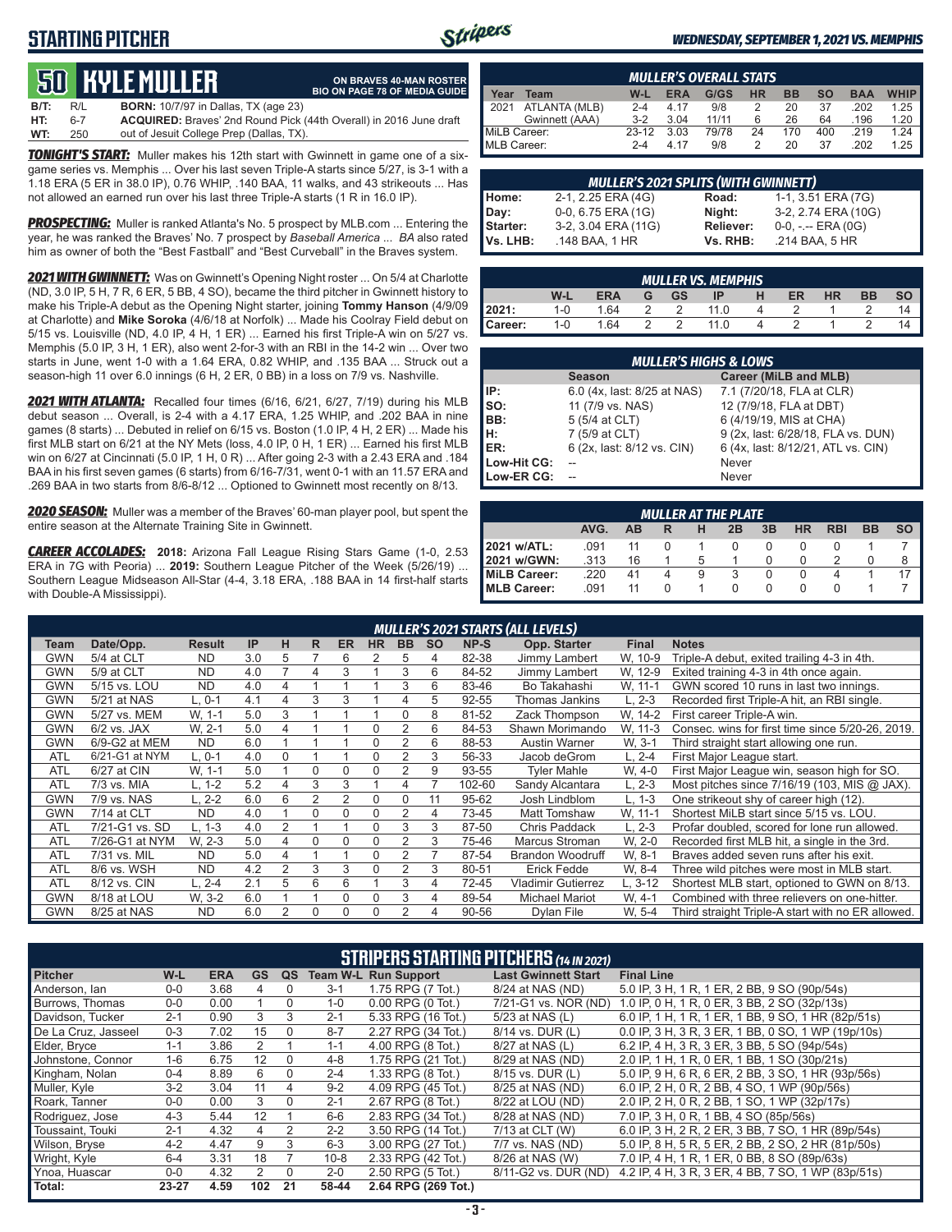### **STARTING PITCHER**



**ON BRAVES 40-MAN ROSTER BIO ON PAGE 78 OF MEDIA GUIDE**

#### *WEDNESDAY, SEPTEMBER 1, 2021 VS. MEMPHIS*

# **50****KYLE MULLER**

**B/T:** R/L **BORN:** 10/7/97 in Dallas, TX (age 23) **HT:** 6-7 **ACQUIRED:** Braves' 2nd Round Pick (44th Overall) in 2016 June draft out of Jesuit College Prep (Dallas, TX)

*TONIGHT'S START:* Muller makes his 12th start with Gwinnett in game one of a sixgame series vs. Memphis ... Over his last seven Triple-A starts since 5/27, is 3-1 with a 1.18 ERA (5 ER in 38.0 IP), 0.76 WHIP, .140 BAA, 11 walks, and 43 strikeouts ... Has not allowed an earned run over his last three Triple-A starts (1 R in 16.0 IP).

*PROSPECTING:* Muller is ranked Atlanta's No. 5 prospect by MLB.com ... Entering the year, he was ranked the Braves' No. 7 prospect by *Baseball America* ... *BA* also rated him as owner of both the "Best Fastball" and "Best Curveball" in the Braves system.

*2021 WITH GWINNETT:* Was on Gwinnett's Opening Night roster ... On 5/4 at Charlotte (ND, 3.0 IP, 5 H, 7 R, 6 ER, 5 BB, 4 SO), became the third pitcher in Gwinnett history to make his Triple-A debut as the Opening Night starter, joining **Tommy Hanson** (4/9/09 at Charlotte) and **Mike Soroka** (4/6/18 at Norfolk) ... Made his Coolray Field debut on 5/15 vs. Louisville (ND, 4.0 IP, 4 H, 1 ER) ... Earned his first Triple-A win on 5/27 vs. Memphis (5.0 IP, 3 H, 1 ER), also went 2-for-3 with an RBI in the 14-2 win ... Over two starts in June, went 1-0 with a 1.64 ERA, 0.82 WHIP, and .135 BAA ... Struck out a season-high 11 over 6.0 innings (6 H, 2 ER, 0 BB) in a loss on 7/9 vs. Nashville.

*2021 WITH ATLANTA:* Recalled four times (6/16, 6/21, 6/27, 7/19) during his MLB debut season ... Overall, is 2-4 with a 4.17 ERA, 1.25 WHIP, and .202 BAA in nine games (8 starts) ... Debuted in relief on 6/15 vs. Boston (1.0 IP, 4 H, 2 ER) ... Made his first MLB start on 6/21 at the NY Mets (loss, 4.0 IP, 0 H, 1 ER) ... Earned his first MLB win on 6/27 at Cincinnati (5.0 IP, 1 H, 0 R) ... After going 2-3 with a 2.43 ERA and .184 BAA in his first seven games (6 starts) from 6/16-7/31, went 0-1 with an 11.57 ERA and .269 BAA in two starts from 8/6-8/12 ... Optioned to Gwinnett most recently on 8/13.

*2020 SEASON:* Muller was a member of the Braves' 60-man player pool, but spent the entire season at the Alternate Training Site in Gwinnett.

*CAREER ACCOLADES:* **2018:** Arizona Fall League Rising Stars Game (1-0, 2.53 ERA in 7G with Peoria) ... **2019:** Southern League Pitcher of the Week (5/26/19) ... Southern League Midseason All-Star (4-4, 3.18 ERA, .188 BAA in 14 first-half starts with Double-A Mississippi).

|              | <b>MULLER'S OVERALL STATS</b> |         |            |       |           |           |           |            |             |  |  |
|--------------|-------------------------------|---------|------------|-------|-----------|-----------|-----------|------------|-------------|--|--|
| Year         | Team                          | W-L     | <b>ERA</b> | G/GS  | <b>HR</b> | <b>BB</b> | <b>SO</b> | <b>BAA</b> | <b>WHIP</b> |  |  |
| 12021        | ATLANTA (MLB)                 | $2 - 4$ | 4.17       | 9/8   |           | 20        | 37        | .202       | 1.25        |  |  |
|              | Gwinnett (AAA)                | $3-2$   | 3.04       | 11/11 |           | 26        | 64        | .196       | 1.20        |  |  |
| MiLB Career: |                               | $23-12$ | 3.03       | 79/78 | 24        | 170       | 400       | .219       | 1.24        |  |  |
| MLB Career:  |                               | $2 - 4$ | 4 17       | 9/8   |           | 20        | 37        | .202       | 1 25        |  |  |

|                                       | MULLER'S 2021 SPLITS (WITH GWINNETT) |           |                       |
|---------------------------------------|--------------------------------------|-----------|-----------------------|
|                                       | 2-1, 2.25 ERA (4G)                   | Road:     | 1-1, 3.51 ERA (7G)    |
|                                       | 0-0, 6.75 ERA (1G)                   | Night:    | 3-2, 2.74 ERA (10G)   |
| Home:<br>Day:<br>Starter:<br>Vs. LHB: | 3-2, 3.04 ERA (11G)                  | Reliever: | $0-0, - -$ ERA $(0G)$ |
|                                       | .148 BAA, 1 HR                       | Vs. RHB:  | .214 BAA, 5 HR        |

|         | <b>MULLER VS. MEMPHIS</b> |            |   |           |      |  |    |           |           |    |  |  |
|---------|---------------------------|------------|---|-----------|------|--|----|-----------|-----------|----|--|--|
|         | W-L                       | <b>ERA</b> | G | <b>GS</b> | IP   |  | ER | <b>HR</b> | <b>BB</b> |    |  |  |
| 2021:   | $1 - 0$                   | 1.64       |   |           | 11.0 |  |    |           |           | 14 |  |  |
| Career: | $1 - 0$                   | 1.64       |   |           | 11.0 |  |    |           |           |    |  |  |

| <b>MULLER'S HIGHS &amp; LOWS</b> |                             |                                    |  |  |  |  |  |  |  |
|----------------------------------|-----------------------------|------------------------------------|--|--|--|--|--|--|--|
|                                  | <b>Season</b>               | Career (MiLB and MLB)              |  |  |  |  |  |  |  |
| IP:                              | 6.0 (4x, last: 8/25 at NAS) | 7.1 (7/20/18, FLA at CLR)          |  |  |  |  |  |  |  |
| $\vert$ so:                      | 11 (7/9 vs. NAS)            | 12 (7/9/18, FLA at DBT)            |  |  |  |  |  |  |  |
| BB:                              | 5 (5/4 at CLT)              | 6 (4/19/19, MIS at CHA)            |  |  |  |  |  |  |  |
| Iн.                              | 7 (5/9 at CLT)              | 9 (2x, last: 6/28/18, FLA vs. DUN) |  |  |  |  |  |  |  |
| <b>IER:</b>                      | 6 (2x, last: 8/12 vs. CIN)  | 6 (4x, last: 8/12/21, ATL vs. CIN) |  |  |  |  |  |  |  |
| Low-Hit CG:                      |                             | Never                              |  |  |  |  |  |  |  |
| Low-ER CG:                       |                             | Never                              |  |  |  |  |  |  |  |

| <b>MULLER AT THE PLATE</b>                                                |      |    |   |   |   |                  |        |  |  |   |  |
|---------------------------------------------------------------------------|------|----|---|---|---|------------------|--------|--|--|---|--|
| <b>RBI</b><br>AVG.<br>3B<br>HR<br><b>BB</b><br><b>SO</b><br>AB<br>2B<br>R |      |    |   |   |   |                  |        |  |  |   |  |
| 2021 w/ATL:                                                               | .091 |    |   |   |   |                  |        |  |  |   |  |
| 2021 w/GWN:                                                               | .313 | 16 |   |   |   |                  | $\cup$ |  |  | 8 |  |
| MiLB Career:                                                              | .220 | 41 | 4 | 9 | 3 |                  |        |  |  |   |  |
| MLB Career:                                                               | .091 | 11 |   |   |   | $\left( \right)$ | O      |  |  |   |  |

|            | <b>MULLER'S 2021 STARTS (ALL LEVELS)</b> |               |     |                |    |                |           |           |           |        |                           |              |                                                   |
|------------|------------------------------------------|---------------|-----|----------------|----|----------------|-----------|-----------|-----------|--------|---------------------------|--------------|---------------------------------------------------|
| Team       | Date/Opp.                                | <b>Result</b> | IP  | н              | R. | <b>ER</b>      | <b>HR</b> | <b>BB</b> | <b>SO</b> | NP-S   | Opp. Starter              | <b>Final</b> | <b>Notes</b>                                      |
| GWN        | 5/4 at CLT                               | <b>ND</b>     | 3.0 | 5              |    | 6              | 2         | 5         | 4         | 82-38  | Jimmy Lambert             | W. 10-9      | Triple-A debut, exited trailing 4-3 in 4th.       |
| <b>GWN</b> | 5/9 at CLT                               | <b>ND</b>     | 4.0 |                | 4  | 3              |           | 3         | 6         | 84-52  | Jimmy Lambert             | W, 12-9      | Exited training 4-3 in 4th once again.            |
| GWN        | 5/15 vs. LOU                             | <b>ND</b>     | 4.0 | 4              |    |                |           | 3         | 6         | 83-46  | Bo Takahashi              | W. 11-1      | GWN scored 10 runs in last two innings.           |
| <b>GWN</b> | 5/21 at NAS                              | $L.0-1$       | 4.1 | 4              | 3  | 3              |           | 4         | 5         | 92-55  | Thomas Jankins            | $L. 2-3$     | Recorded first Triple-A hit, an RBI single.       |
| GWN        | 5/27 vs. MEM                             | W. 1-1        | 5.0 | 3              |    |                |           | 0         | 8         | 81-52  | Zack Thompson             | W. 14-2      | First career Triple-A win.                        |
| <b>GWN</b> | $6/2$ vs. JAX                            | W. 2-1        | 5.0 | 4              |    |                |           | 2         | 6         | 84-53  | Shawn Morimando           | W. 11-3      | Consec. wins for first time since 5/20-26, 2019.  |
| GWN        | 6/9-G2 at MEM                            | <b>ND</b>     | 6.0 |                |    |                | $\Omega$  | 2         | 6         | 88-53  | <b>Austin Warner</b>      | W. 3-1       | Third straight start allowing one run.            |
| <b>ATL</b> | 6/21-G1 at NYM                           | L. 0-1        | 4.0 | $\Omega$       |    |                | 0         | 2         | 3         | 56-33  | Jacob deGrom              | L, 2-4       | First Major League start.                         |
| <b>ATL</b> | 6/27 at CIN                              | W. 1-1        | 5.0 |                | 0  | 0              |           | 2         | 9         | 93-55  | <b>Tyler Mahle</b>        | W, 4-0       | First Major League win, season high for SO.       |
| <b>ATL</b> | 7/3 vs. MIA                              | L, 1-2        | 5.2 | 4              | 3  | 3              |           | 4         |           | 102-60 | Sandy Alcantara           | L, 2-3       | Most pitches since $7/16/19$ (103, MIS @ JAX).    |
| <b>GWN</b> | 7/9 vs. NAS                              | L. 2-2        | 6.0 | 6              | 2  | $\overline{2}$ | $\Omega$  | $\Omega$  | 11        | 95-62  | Josh Lindblom             | L, 1-3       | One strikeout shy of career high (12).            |
| <b>GWN</b> | 7/14 at CLT                              | <b>ND</b>     | 4.0 |                | 0  | $\Omega$       | $\Omega$  | 2         | 4         | 73-45  | Matt Tomshaw              | W, 11-1      | Shortest MiLB start since 5/15 vs. LOU.           |
| <b>ATL</b> | 7/21-G1 vs. SD                           | L. 1-3        | 4.0 | 2              |    |                |           | 3         | 3         | 87-50  | Chris Paddack             | $L, 2-3$     | Profar doubled, scored for lone run allowed.      |
| <b>ATL</b> | 7/26-G1 at NYM                           | W. 2-3        | 5.0 | 4              | 0  | 0              | $\Omega$  |           | 3         | 75-46  | Marcus Stroman            | W. 2-0       | Recorded first MLB hit, a single in the 3rd.      |
| <b>ATL</b> | 7/31 vs. MIL                             | <b>ND</b>     | 5.0 | 4              |    |                | $\Omega$  | 2         |           | 87-54  | <b>Brandon Woodruff</b>   | W. 8-1       | Braves added seven runs after his exit.           |
| <b>ATL</b> | 8/6 vs. WSH                              | <b>ND</b>     | 4.2 | $\overline{2}$ | 3  | 3              | $\Omega$  | 2         | 3         | 80-51  | <b>Erick Fedde</b>        | W. 8-4       | Three wild pitches were most in MLB start.        |
| <b>ATL</b> | 8/12 vs. CIN                             | L. 2-4        | 2.1 | 5              | 6  | 6              |           | 3         | 4         | 72-45  | <b>Vladimir Gutierrez</b> | L, 3-12      | Shortest MLB start, optioned to GWN on 8/13.      |
| GWN        | 8/18 at LOU                              | W. 3-2        | 6.0 |                |    | 0              | $\Omega$  | 3         | 4         | 89-54  | <b>Michael Mariot</b>     | W. 4-1       | Combined with three relievers on one-hitter.      |
| <b>GWN</b> | 8/25 at NAS                              | <b>ND</b>     | 6.0 | 2              | 0  | $\Omega$       | U         | 2         | 4         | 90-56  | Dylan File                | W. 5-4       | Third straight Triple-A start with no ER allowed. |

| <b>STRIPERS STARTING PITCHERS (14 IN 2021)</b> |         |            |                |          |          |                             |                            |                                                    |  |
|------------------------------------------------|---------|------------|----------------|----------|----------|-----------------------------|----------------------------|----------------------------------------------------|--|
| <b>Pitcher</b>                                 | W-L     | <b>ERA</b> | <b>GS</b>      | QS       |          | <b>Team W-L Run Support</b> | <b>Last Gwinnett Start</b> | <b>Final Line</b>                                  |  |
| Anderson, lan                                  | $0 - 0$ | 3.68       | 4              | $\Omega$ | $3 - 1$  | 1.75 RPG (7 Tot.)           | 8/24 at NAS (ND)           | 5.0 IP, 3 H, 1 R, 1 ER, 2 BB, 9 SO (90p/54s)       |  |
| Burrows, Thomas                                | $0-0$   | 0.00       |                | $\Omega$ | $1 - 0$  | $0.00$ RPG $(0$ Tot.)       | 7/21-G1 vs. NOR (ND)       | 1.0 IP, 0 H, 1 R, 0 ER, 3 BB, 2 SO (32p/13s)       |  |
| Davidson, Tucker                               | $2 - 1$ | 0.90       | 3              | 3        | $2 - 1$  | 5.33 RPG (16 Tot.)          | 5/23 at NAS (L)            | 6.0 IP, 1 H, 1 R, 1 ER, 1 BB, 9 SO, 1 HR (82p/51s) |  |
| De La Cruz. Jasseel                            | $0 - 3$ | 7.02       | 15             | $\Omega$ | $8 - 7$  | 2.27 RPG (34 Tot.)          | 8/14 vs. DUR (L)           | 0.0 IP, 3 H, 3 R, 3 ER, 1 BB, 0 SO, 1 WP (19p/10s) |  |
| Elder, Bryce                                   | $1 - 1$ | 3.86       | 2              |          | $1 - 1$  | 4.00 RPG (8 Tot.)           | 8/27 at NAS (L)            | 6.2 IP, 4 H, 3 R, 3 ER, 3 BB, 5 SO (94p/54s)       |  |
| Johnstone, Connor                              | $1 - 6$ | 6.75       | 12             | $\Omega$ | $4 - 8$  | 1.75 RPG (21 Tot.)          | 8/29 at NAS (ND)           | 2.0 IP, 1 H, 1 R, 0 ER, 1 BB, 1 SO (30p/21s)       |  |
| Kingham, Nolan                                 | $0 - 4$ | 8.89       | 6              | 0        | $2 - 4$  | 1.33 RPG (8 Tot.)           | 8/15 vs. DUR (L)           | 5.0 IP, 9 H, 6 R, 6 ER, 2 BB, 3 SO, 1 HR (93p/56s) |  |
| Muller, Kyle                                   | $3-2$   | 3.04       | 11             | 4        | $9 - 2$  | 4.09 RPG (45 Tot.)          | 8/25 at NAS (ND)           | 6.0 IP, 2 H, 0 R, 2 BB, 4 SO, 1 WP (90p/56s)       |  |
| Roark, Tanner                                  | $0-0$   | 0.00       | 3              | $\Omega$ | $2 - 1$  | 2.67 RPG (8 Tot.)           | 8/22 at LOU (ND)           | 2.0 IP, 2 H, 0 R, 2 BB, 1 SO, 1 WP (32p/17s)       |  |
| Rodriguez, Jose                                | $4 - 3$ | 5.44       | 12             |          | $6-6$    | 2.83 RPG (34 Tot.)          | 8/28 at NAS (ND)           | 7.0 IP, 3 H, 0 R, 1 BB, 4 SO (85p/56s)             |  |
| Toussaint. Touki                               | $2 - 1$ | 4.32       | 4              |          | $2 - 2$  | 3.50 RPG (14 Tot.)          | 7/13 at CLT (W)            | 6.0 IP, 3 H, 2 R, 2 ER, 3 BB, 7 SO, 1 HR (89p/54s) |  |
| Wilson, Bryse                                  | $4 - 2$ | 4.47       | 9              | 3        | $6 - 3$  | 3.00 RPG (27 Tot.)          | 7/7 vs. NAS (ND)           | 5.0 IP, 8 H, 5 R, 5 ER, 2 BB, 2 SO, 2 HR (81p/50s) |  |
| Wright, Kyle                                   | $6 - 4$ | 3.31       | 18             |          | $10 - 8$ | 2.33 RPG (42 Tot.)          | 8/26 at NAS (W)            | 7.0 IP, 4 H, 1 R, 1 ER, 0 BB, 8 SO (89p/63s)       |  |
| Ynoa, Huascar                                  | $0 - 0$ | 4.32       | $\overline{2}$ | $\Omega$ | $2 - 0$  | 2.50 RPG (5 Tot.)           | 8/11-G2 vs. DUR (ND)       | 4.2 IP, 4 H, 3 R, 3 ER, 4 BB, 7 SO, 1 WP (83p/51s) |  |
| Total:                                         | 23-27   | 4.59       | 102            | 21       | 58-44    | 2.64 RPG (269 Tot.)         |                            |                                                    |  |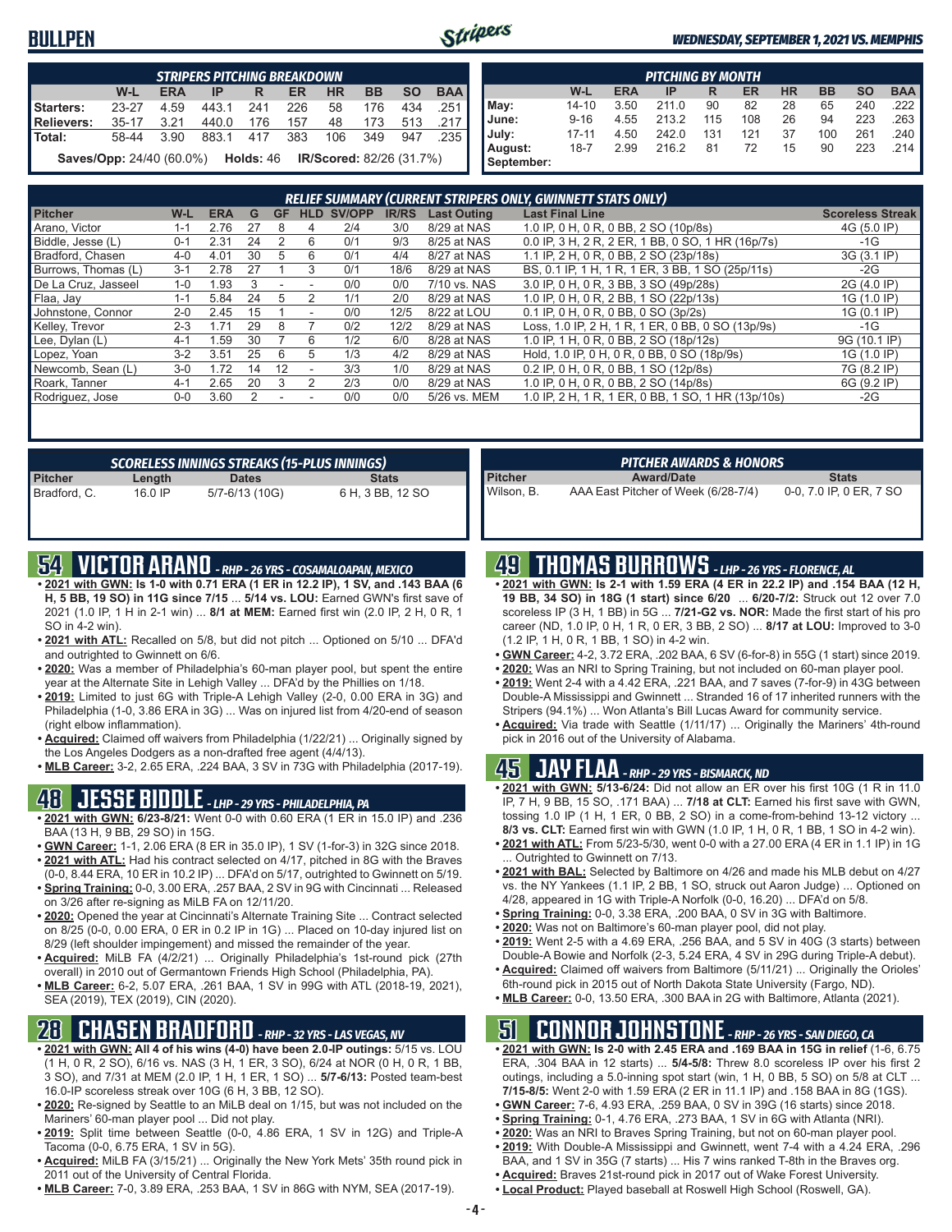### **BULLPEN**



#### *WEDNESDAY, SEPTEMBER 1, 2021 VS. MEMPHIS*

| <b>STRIPERS PITCHING BREAKDOWN</b>                                               |           |      |       |     |     |     |       |     |               |  |  |
|----------------------------------------------------------------------------------|-----------|------|-------|-----|-----|-----|-------|-----|---------------|--|--|
| <b>BAA</b><br><b>SO</b><br>BB<br>W-L<br><b>HR</b><br><b>ERA</b><br>ER<br>IP<br>R |           |      |       |     |     |     |       |     |               |  |  |
| Starters:                                                                        | 23-27     | 4.59 | 443.1 | 241 | 226 | 58  | 176   | 434 | .251 <b>I</b> |  |  |
| Relievers:                                                                       | $35 - 17$ | 3.21 | 440.0 | 176 | 157 | 48  | - 173 | 513 | .217          |  |  |
| <b>Total:</b>                                                                    | 58-44     | 3.90 | 883.1 | 417 | 383 | 106 | 349   | 947 | .235          |  |  |
| <b>IR/Scored:</b> 82/26 (31.7%)<br>Saves/Opp: 24/40 (60.0%)<br><b>Holds: 46</b>  |           |      |       |     |     |     |       |     |               |  |  |

|                       | <b>PITCHING BY MONTH</b> |            |       |     |     |           |           |           |                       |  |  |  |
|-----------------------|--------------------------|------------|-------|-----|-----|-----------|-----------|-----------|-----------------------|--|--|--|
|                       | W-L                      | <b>ERA</b> | ΙP    | R   | ER  | <b>HR</b> | <b>BB</b> | <b>SO</b> | <b>BAA</b>            |  |  |  |
| May:                  | $14 - 10$                | 3.50       | 211.0 | 90  | 82  | 28        | 65        | 240       | .222                  |  |  |  |
| June:                 | $9 - 16$                 | 4.55       | 213.2 | 115 | 108 | 26        | 94        | 223       | .263                  |  |  |  |
| July:                 | $17 - 11$                | 4.50       | 242.0 | 131 | 121 | 37        | 100       | 261       | $.240$ $\blacksquare$ |  |  |  |
| August:<br>September: | $18 - 7$                 | 2.99       | 216.2 | 81  | 72  | 15        | 90        | 223       | .214                  |  |  |  |

| <b>RELIEF SUMMARY (CURRENT STRIPERS ONLY, GWINNETT STATS ONLY)</b> |         |            |    |    |                          |        |              |                    |                                                    |                         |
|--------------------------------------------------------------------|---------|------------|----|----|--------------------------|--------|--------------|--------------------|----------------------------------------------------|-------------------------|
| <b>Pitcher</b>                                                     | W-L     | <b>ERA</b> | G  | GF | <b>HLD</b>               | SV/OPP | <b>IR/RS</b> | <b>Last Outing</b> | <b>Last Final Line</b>                             | <b>Scoreless Streak</b> |
| Arano, Victor                                                      | 1-1     | 2.76       | 27 | 8  | 4                        | 2/4    | 3/0          | 8/29 at NAS        | 1.0 IP, 0 H, 0 R, 0 BB, 2 SO (10p/8s)              | 4G (5.0 IP)             |
| Biddle, Jesse (L)                                                  | $0 - 1$ | 2.31       | 24 |    | 6                        | 0/1    | 9/3          | 8/25 at NAS        | 0.0 IP, 3 H, 2 R, 2 ER, 1 BB, 0 SO, 1 HR (16p/7s)  | -1G                     |
| Bradford, Chasen                                                   | $4 - 0$ | 4.01       | 30 | :5 | 6                        | 0/1    | 4/4          | 8/27 at NAS        | 1.1 IP, 2 H, 0 R, 0 BB, 2 SO (23p/18s)             | 3G (3.1 IP)             |
| Burrows, Thomas (L)                                                | $3 - 1$ | 2.78       | 27 |    |                          | 0/1    | 18/6         | 8/29 at NAS        | BS, 0.1 IP, 1 H, 1 R, 1 ER, 3 BB, 1 SO (25p/11s)   | $-2G$                   |
| De La Cruz. Jasseel                                                | $1 - 0$ | .93        | 3  |    |                          | 0/0    | 0/0          | 7/10 vs. NAS       | 3.0 IP, 0 H, 0 R, 3 BB, 3 SO (49p/28s)             | 2G (4.0 IP)             |
| Flaa, Jay                                                          | $1 - 1$ | 5.84       | 24 | :5 |                          | 1/1    | 2/0          | 8/29 at NAS        | 1.0 IP, 0 H, 0 R, 2 BB, 1 SO (22p/13s)             | 1G (1.0 IP)             |
| Johnstone, Connor                                                  | $2 - 0$ | 2.45       | 15 |    | $\overline{\phantom{a}}$ | 0/0    | 12/5         | 8/22 at LOU        | 0.1 IP, 0 H, 0 R, 0 BB, 0 SO (3p/2s)               | 1G (0.1 IP)             |
| Kelley, Trevor                                                     | $2 - 3$ | 1.71       | 29 | 8  |                          | 0/2    | 12/2         | 8/29 at NAS        | Loss, 1.0 IP, 2 H, 1 R, 1 ER, 0 BB, 0 SO (13p/9s)  | -1G                     |
| Lee, Dylan (L)                                                     | $4-1$   | .59        | 30 |    | 6                        | 1/2    | 6/0          | 8/28 at NAS        | 1.0 IP, 1 H, 0 R, 0 BB, 2 SO (18p/12s)             | 9G (10.1 IP)            |
| Lopez, Yoan                                                        | $3-2$   | 3.51       | 25 | 6  | 5                        | 1/3    | 4/2          | 8/29 at NAS        | Hold, 1.0 IP, 0 H, 0 R, 0 BB, 0 SO (18p/9s)        | 1G (1.0 IP)             |
| Newcomb, Sean (L)                                                  | $3-0$   | 1.72       | 14 | 12 |                          | 3/3    | 1/0          | 8/29 at NAS        | 0.2 IP, 0 H, 0 R, 0 BB, 1 SO (12p/8s)              | 7G (8.2 IP)             |
| Roark, Tanner                                                      | $4 - 1$ | 2.65       | 20 | 3  |                          | 2/3    | 0/0          | 8/29 at NAS        | 1.0 IP, 0 H, 0 R, 0 BB, 2 SO (14p/8s)              | 6G (9.2 IP)             |
| Rodriguez, Jose                                                    | $0-0$   | 3.60       |    |    |                          | 0/0    | 0/0          | 5/26 vs. MEM       | 1.0 IP, 2 H, 1 R, 1 ER, 0 BB, 1 SO, 1 HR (13p/10s) | $-2G$                   |
|                                                                    |         |            |    |    |                          |        |              |                    |                                                    |                         |

|                |         | SCORELESS INNINGS STREAKS (15-PLUS INNINGS) |                  |
|----------------|---------|---------------------------------------------|------------------|
| <b>Pitcher</b> | Length  | <b>Dates</b>                                | <b>Stats</b>     |
| Bradford, C.   | 16.0 IP | 5/7-6/13 (10G)                              | 6 H, 3 BB, 12 SO |

## **54 VICTOR ARANO** *- RHP - 26 YRS - COSAMALOAPAN, MEXICO*

- **• 2021 with GWN: Is 1-0 with 0.71 ERA (1 ER in 12.2 IP), 1 SV, and .143 BAA (6 H, 5 BB, 19 SO) in 11G since 7/15** ... **5/14 vs. LOU:** Earned GWN's first save of 2021 (1.0 IP, 1 H in 2-1 win) ... **8/1 at MEM:** Earned first win (2.0 IP, 2 H, 0 R, 1 SO in 4-2 win).
- **• 2021 with ATL:** Recalled on 5/8, but did not pitch ... Optioned on 5/10 ... DFA'd and outrighted to Gwinnett on 6/6.
- **• 2020:** Was a member of Philadelphia's 60-man player pool, but spent the entire year at the Alternate Site in Lehigh Valley ... DFA'd by the Phillies on 1/18.
- **• 2019:** Limited to just 6G with Triple-A Lehigh Valley (2-0, 0.00 ERA in 3G) and Philadelphia (1-0, 3.86 ERA in 3G) ... Was on injured list from 4/20-end of season (right elbow inflammation).
- **• Acquired:** Claimed off waivers from Philadelphia (1/22/21) ... Originally signed by the Los Angeles Dodgers as a non-drafted free agent (4/4/13).
- **• MLB Career:** 3-2, 2.65 ERA, .224 BAA, 3 SV in 73G with Philadelphia (2017-19).

### **48 JESSE BIDDLE** *- LHP - 29 YRS - PHILADELPHIA, PA*

- **• 2021 with GWN: 6/23-8/21:** Went 0-0 with 0.60 ERA (1 ER in 15.0 IP) and .236 BAA (13 H, 9 BB, 29 SO) in 15G.
- **• GWN Career:** 1-1, 2.06 ERA (8 ER in 35.0 IP), 1 SV (1-for-3) in 32G since 2018. **• 2021 with ATL:** Had his contract selected on 4/17, pitched in 8G with the Braves
- (0-0, 8.44 ERA, 10 ER in 10.2 IP) ... DFA'd on 5/17, outrighted to Gwinnett on 5/19. **• Spring Training:** 0-0, 3.00 ERA, .257 BAA, 2 SV in 9G with Cincinnati ... Released
- on 3/26 after re-signing as MiLB FA on 12/11/20. **• 2020:** Opened the year at Cincinnati's Alternate Training Site ... Contract selected on 8/25 (0-0, 0.00 ERA, 0 ER in 0.2 IP in 1G) ... Placed on 10-day injured list on 8/29 (left shoulder impingement) and missed the remainder of the year.
- **• Acquired:** MiLB FA (4/2/21) ... Originally Philadelphia's 1st-round pick (27th overall) in 2010 out of Germantown Friends High School (Philadelphia, PA).
- **• MLB Career:** 6-2, 5.07 ERA, .261 BAA, 1 SV in 99G with ATL (2018-19, 2021), SEA (2019), TEX (2019), CIN (2020).

## **28 CHASEN BRADFORD** *- RHP - 32 YRS - LAS VEGAS, NV*

- **• 2021 with GWN: All 4 of his wins (4-0) have been 2.0-IP outings:** 5/15 vs. LOU (1 H, 0 R, 2 SO), 6/16 vs. NAS (3 H, 1 ER, 3 SO), 6/24 at NOR (0 H, 0 R, 1 BB, 3 SO), and 7/31 at MEM (2.0 IP, 1 H, 1 ER, 1 SO) ... **5/7-6/13:** Posted team-best 16.0-IP scoreless streak over 10G (6 H, 3 BB, 12 SO).
- **• 2020:** Re-signed by Seattle to an MiLB deal on 1/15, but was not included on the Mariners' 60-man player pool ... Did not play.
- **• 2019:** Split time between Seattle (0-0, 4.86 ERA, 1 SV in 12G) and Triple-A Tacoma (0-0, 6.75 ERA, 1 SV in 5G).
- **• Acquired:** MiLB FA (3/15/21) ... Originally the New York Mets' 35th round pick in 2011 out of the University of Central Florida.
- **• MLB Career:** 7-0, 3.89 ERA, .253 BAA, 1 SV in 86G with NYM, SEA (2017-19).

|                | <b>PITCHER AWARDS &amp; HONORS</b>  |                         |
|----------------|-------------------------------------|-------------------------|
| <b>Pitcher</b> | <b>Award/Date</b>                   | <b>Stats</b>            |
| Wilson. B.     | AAA East Pitcher of Week (6/28-7/4) | 0-0, 7.0 IP, 0 ER, 7 SO |

### **49 THOMAS BURROWS** *- LHP - 26 YRS - FLORENCE, AL*

- **• 2021 with GWN: Is 2-1 with 1.59 ERA (4 ER in 22.2 IP) and .154 BAA (12 H, 19 BB, 34 SO) in 18G (1 start) since 6/20** ... **6/20-7/2:** Struck out 12 over 7.0 scoreless IP (3 H, 1 BB) in 5G ... **7/21-G2 vs. NOR:** Made the first start of his pro career (ND, 1.0 IP, 0 H, 1 R, 0 ER, 3 BB, 2 SO) ... **8/17 at LOU:** Improved to 3-0 (1.2 IP, 1 H, 0 R, 1 BB, 1 SO) in 4-2 win.
- **• GWN Career:** 4-2, 3.72 ERA, .202 BAA, 6 SV (6-for-8) in 55G (1 start) since 2019.
- **• 2020:** Was an NRI to Spring Training, but not included on 60-man player pool.
- **• 2019:** Went 2-4 with a 4.42 ERA, .221 BAA, and 7 saves (7-for-9) in 43G between Double-A Mississippi and Gwinnett ... Stranded 16 of 17 inherited runners with the Stripers (94.1%) ... Won Atlanta's Bill Lucas Award for community service.
- **• Acquired:** Via trade with Seattle (1/11/17) ... Originally the Mariners' 4th-round pick in 2016 out of the University of Alabama.

# **45 JAY FLAA** *- RHP - 29 YRS - BISMARCK, ND*

- **• 2021 with GWN: 5/13-6/24:** Did not allow an ER over his first 10G (1 R in 11.0 IP, 7 H, 9 BB, 15 SO, .171 BAA) ... **7/18 at CLT:** Earned his first save with GWN, tossing 1.0 IP (1 H, 1 ER, 0 BB, 2 SO) in a come-from-behind 13-12 victory ... **8/3 vs. CLT:** Earned first win with GWN (1.0 IP, 1 H, 0 R, 1 BB, 1 SO in 4-2 win).
- **• 2021 with ATL:** From 5/23-5/30, went 0-0 with a 27.00 ERA (4 ER in 1.1 IP) in 1G ... Outrighted to Gwinnett on 7/13.
- **• 2021 with BAL:** Selected by Baltimore on 4/26 and made his MLB debut on 4/27 vs. the NY Yankees (1.1 IP, 2 BB, 1 SO, struck out Aaron Judge) ... Optioned on 4/28, appeared in 1G with Triple-A Norfolk (0-0, 16.20) ... DFA'd on 5/8.
- **• Spring Training:** 0-0, 3.38 ERA, .200 BAA, 0 SV in 3G with Baltimore.
- **• 2020:** Was not on Baltimore's 60-man player pool, did not play.
- **• 2019:** Went 2-5 with a 4.69 ERA, .256 BAA, and 5 SV in 40G (3 starts) between Double-A Bowie and Norfolk (2-3, 5.24 ERA, 4 SV in 29G during Triple-A debut).
- **• Acquired:** Claimed off waivers from Baltimore (5/11/21) ... Originally the Orioles'
- 6th-round pick in 2015 out of North Dakota State University (Fargo, ND). **• MLB Career:** 0-0, 13.50 ERA, .300 BAA in 2G with Baltimore, Atlanta (2021).

### **51 CONNOR JOHNSTONE** *- RHP - 26 YRS - SAN DIEGO, CA*

- **• 2021 with GWN: Is 2-0 with 2.45 ERA and .169 BAA in 15G in relief** (1-6, 6.75 ERA, .304 BAA in 12 starts) ... **5/4-5/8:** Threw 8.0 scoreless IP over his first 2 outings, including a 5.0-inning spot start (win, 1 H, 0 BB, 5 SO) on 5/8 at CLT ... **7/15-8/5:** Went 2-0 with 1.59 ERA (2 ER in 11.1 IP) and .158 BAA in 8G (1GS).
- **• GWN Career:** 7-6, 4.93 ERA, .259 BAA, 0 SV in 39G (16 starts) since 2018. **• Spring Training:** 0-1, 4.76 ERA, .273 BAA, 1 SV in 6G with Atlanta (NRI).
- **• 2020:** Was an NRI to Braves Spring Training, but not on 60-man player pool.
- **• 2019:** With Double-A Mississippi and Gwinnett, went 7-4 with a 4.24 ERA, .296
- BAA, and 1 SV in 35G (7 starts) ... His 7 wins ranked T-8th in the Braves org.
- **• Acquired:** Braves 21st-round pick in 2017 out of Wake Forest University.
- **• Local Product:** Played baseball at Roswell High School (Roswell, GA).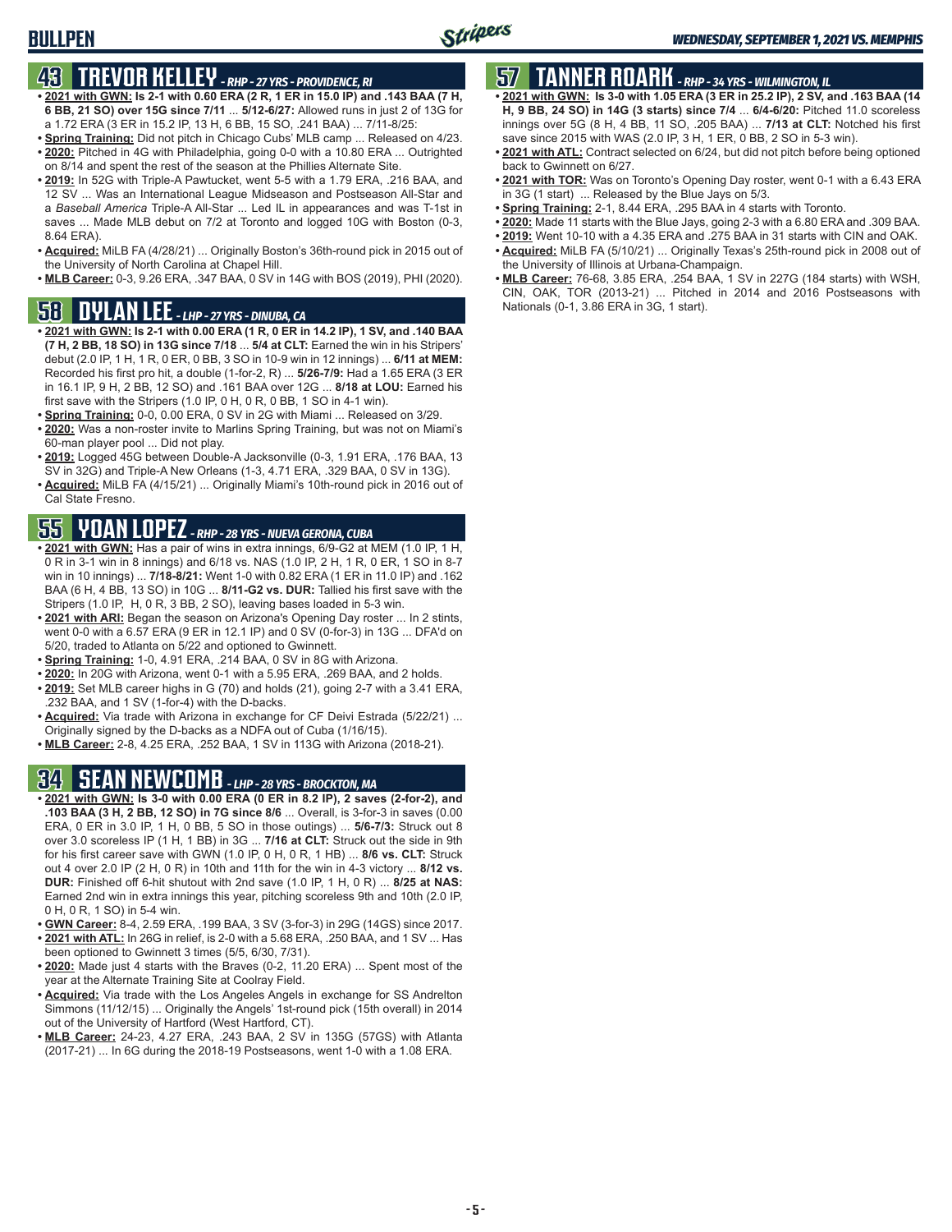### **BULLPEN**

## **43 TREVOR KELLEY** *- RHP - 27 YRS - PROVIDENCE, RI*

- **• 2021 with GWN: Is 2-1 with 0.60 ERA (2 R, 1 ER in 15.0 IP) and .143 BAA (7 H, 6 BB, 21 SO) over 15G since 7/11** ... **5/12-6/27:** Allowed runs in just 2 of 13G for a 1.72 ERA (3 ER in 15.2 IP, 13 H, 6 BB, 15 SO, .241 BAA) ... 7/11-8/25:
- **• Spring Training:** Did not pitch in Chicago Cubs' MLB camp ... Released on 4/23. **• 2020:** Pitched in 4G with Philadelphia, going 0-0 with a 10.80 ERA ... Outrighted on 8/14 and spent the rest of the season at the Phillies Alternate Site.
- **• 2019:** In 52G with Triple-A Pawtucket, went 5-5 with a 1.79 ERA, .216 BAA, and 12 SV ... Was an International League Midseason and Postseason All-Star and a *Baseball America* Triple-A All-Star ... Led IL in appearances and was T-1st in saves ... Made MLB debut on 7/2 at Toronto and logged 10G with Boston (0-3, 8.64 ERA).
- **• Acquired:** MiLB FA (4/28/21) ... Originally Boston's 36th-round pick in 2015 out of the University of North Carolina at Chapel Hill.
- **• MLB Career:** 0-3, 9.26 ERA, .347 BAA, 0 SV in 14G with BOS (2019), PHI (2020).

## **58 DYLAN LEE** *- LHP - 27 YRS - DINUBA, CA*

- **• 2021 with GWN: Is 2-1 with 0.00 ERA (1 R, 0 ER in 14.2 IP), 1 SV, and .140 BAA (7 H, 2 BB, 18 SO) in 13G since 7/18** ... **5/4 at CLT:** Earned the win in his Stripers' debut (2.0 IP, 1 H, 1 R, 0 ER, 0 BB, 3 SO in 10-9 win in 12 innings) ... **6/11 at MEM:** Recorded his first pro hit, a double (1-for-2, R) ... **5/26-7/9:** Had a 1.65 ERA (3 ER in 16.1 IP, 9 H, 2 BB, 12 SO) and .161 BAA over 12G ... **8/18 at LOU:** Earned his first save with the Stripers (1.0 IP, 0 H, 0 R, 0 BB, 1 SO in 4-1 win).
- **• Spring Training:** 0-0, 0.00 ERA, 0 SV in 2G with Miami ... Released on 3/29.
- **• 2020:** Was a non-roster invite to Marlins Spring Training, but was not on Miami's 60-man player pool ... Did not play.
- **• 2019:** Logged 45G between Double-A Jacksonville (0-3, 1.91 ERA, .176 BAA, 13 SV in 32G) and Triple-A New Orleans (1-3, 4.71 ERA, .329 BAA, 0 SV in 13G).
- **• Acquired:** MiLB FA (4/15/21) ... Originally Miami's 10th-round pick in 2016 out of Cal State Fresno.

# **55 YOAN LOPEZ** *- RHP - 28 YRS - NUEVA GERONA, CUBA*

- **• 2021 with GWN:** Has a pair of wins in extra innings, 6/9-G2 at MEM (1.0 IP, 1 H, 0 R in 3-1 win in 8 innings) and 6/18 vs. NAS (1.0 IP, 2 H, 1 R, 0 ER, 1 SO in 8-7 win in 10 innings) ... **7/18-8/21:** Went 1-0 with 0.82 ERA (1 ER in 11.0 IP) and .162 BAA (6 H, 4 BB, 13 SO) in 10G ... **8/11-G2 vs. DUR:** Tallied his first save with the Stripers (1.0 IP, H, 0 R, 3 BB, 2 SO), leaving bases loaded in 5-3 win.
- **• 2021 with ARI:** Began the season on Arizona's Opening Day roster ... In 2 stints, went 0-0 with a 6.57 ERA (9 ER in 12.1 IP) and 0 SV (0-for-3) in 13G ... DFA'd on 5/20, traded to Atlanta on 5/22 and optioned to Gwinnett.
- **• Spring Training:** 1-0, 4.91 ERA, .214 BAA, 0 SV in 8G with Arizona.
- **• 2020:** In 20G with Arizona, went 0-1 with a 5.95 ERA, .269 BAA, and 2 holds.
- **• 2019:** Set MLB career highs in G (70) and holds (21), going 2-7 with a 3.41 ERA, .232 BAA, and 1 SV (1-for-4) with the D-backs.
- **• Acquired:** Via trade with Arizona in exchange for CF Deivi Estrada (5/22/21) ... Originally signed by the D-backs as a NDFA out of Cuba (1/16/15).
- **• MLB Career:** 2-8, 4.25 ERA, .252 BAA, 1 SV in 113G with Arizona (2018-21).

# **34 SEAN NEWCOMB** *- LHP - 28 YRS - BROCKTON, MA*

- **• 2021 with GWN: Is 3-0 with 0.00 ERA (0 ER in 8.2 IP), 2 saves (2-for-2), and .103 BAA (3 H, 2 BB, 12 SO) in 7G since 8/6** ... Overall, is 3-for-3 in saves (0.00 ERA, 0 ER in 3.0 IP, 1 H, 0 BB, 5 SO in those outings) ... **5/6-7/3:** Struck out 8 over 3.0 scoreless IP (1 H, 1 BB) in 3G ... **7/16 at CLT:** Struck out the side in 9th for his first career save with GWN (1.0 IP, 0 H, 0 R, 1 HB) ... **8/6 vs. CLT:** Struck out 4 over 2.0 IP (2 H, 0 R) in 10th and 11th for the win in 4-3 victory ... **8/12 vs. DUR:** Finished off 6-hit shutout with 2nd save (1.0 IP, 1 H, 0 R) ... **8/25 at NAS:** Earned 2nd win in extra innings this year, pitching scoreless 9th and 10th (2.0 IP, 0 H, 0 R, 1 SO) in 5-4 win.
- **• GWN Career:** 8-4, 2.59 ERA, .199 BAA, 3 SV (3-for-3) in 29G (14GS) since 2017. **• 2021 with ATL:** In 26G in relief, is 2-0 with a 5.68 ERA, .250 BAA, and 1 SV ... Has
- been optioned to Gwinnett 3 times (5/5, 6/30, 7/31).
- **• 2020:** Made just 4 starts with the Braves (0-2, 11.20 ERA) ... Spent most of the year at the Alternate Training Site at Coolray Field.
- **• Acquired:** Via trade with the Los Angeles Angels in exchange for SS Andrelton Simmons (11/12/15) ... Originally the Angels' 1st-round pick (15th overall) in 2014 out of the University of Hartford (West Hartford, CT).
- **• MLB Career:** 24-23, 4.27 ERA, .243 BAA, 2 SV in 135G (57GS) with Atlanta (2017-21) ... In 6G during the 2018-19 Postseasons, went 1-0 with a 1.08 ERA.

# **57 TANNER ROARK** *- RHP - 34 YRS - WILMINGTON, IL*

- **• 2021 with GWN: Is 3-0 with 1.05 ERA (3 ER in 25.2 IP), 2 SV, and .163 BAA (14 H, 9 BB, 24 SO) in 14G (3 starts) since 7/4** ... **6/4-6/20:** Pitched 11.0 scoreless innings over 5G (8 H, 4 BB, 11 SO, .205 BAA) ... **7/13 at CLT:** Notched his first save since 2015 with WAS (2.0 IP, 3 H, 1 ER, 0 BB, 2 SO in 5-3 win).
- **• 2021 with ATL:** Contract selected on 6/24, but did not pitch before being optioned back to Gwinnett on 6/27.
- **• 2021 with TOR:** Was on Toronto's Opening Day roster, went 0-1 with a 6.43 ERA in 3G (1 start) ... Released by the Blue Jays on 5/3.
- **• Spring Training:** 2-1, 8.44 ERA, .295 BAA in 4 starts with Toronto.
- **• 2020:** Made 11 starts with the Blue Jays, going 2-3 with a 6.80 ERA and .309 BAA.
- **• 2019:** Went 10-10 with a 4.35 ERA and .275 BAA in 31 starts with CIN and OAK.
- **• Acquired:** MiLB FA (5/10/21) ... Originally Texas's 25th-round pick in 2008 out of the University of Illinois at Urbana-Champaign.
- **• MLB Career:** 76-68, 3.85 ERA, .254 BAA, 1 SV in 227G (184 starts) with WSH, CIN, OAK, TOR (2013-21) ... Pitched in 2014 and 2016 Postseasons with Nationals (0-1, 3.86 ERA in 3G, 1 start).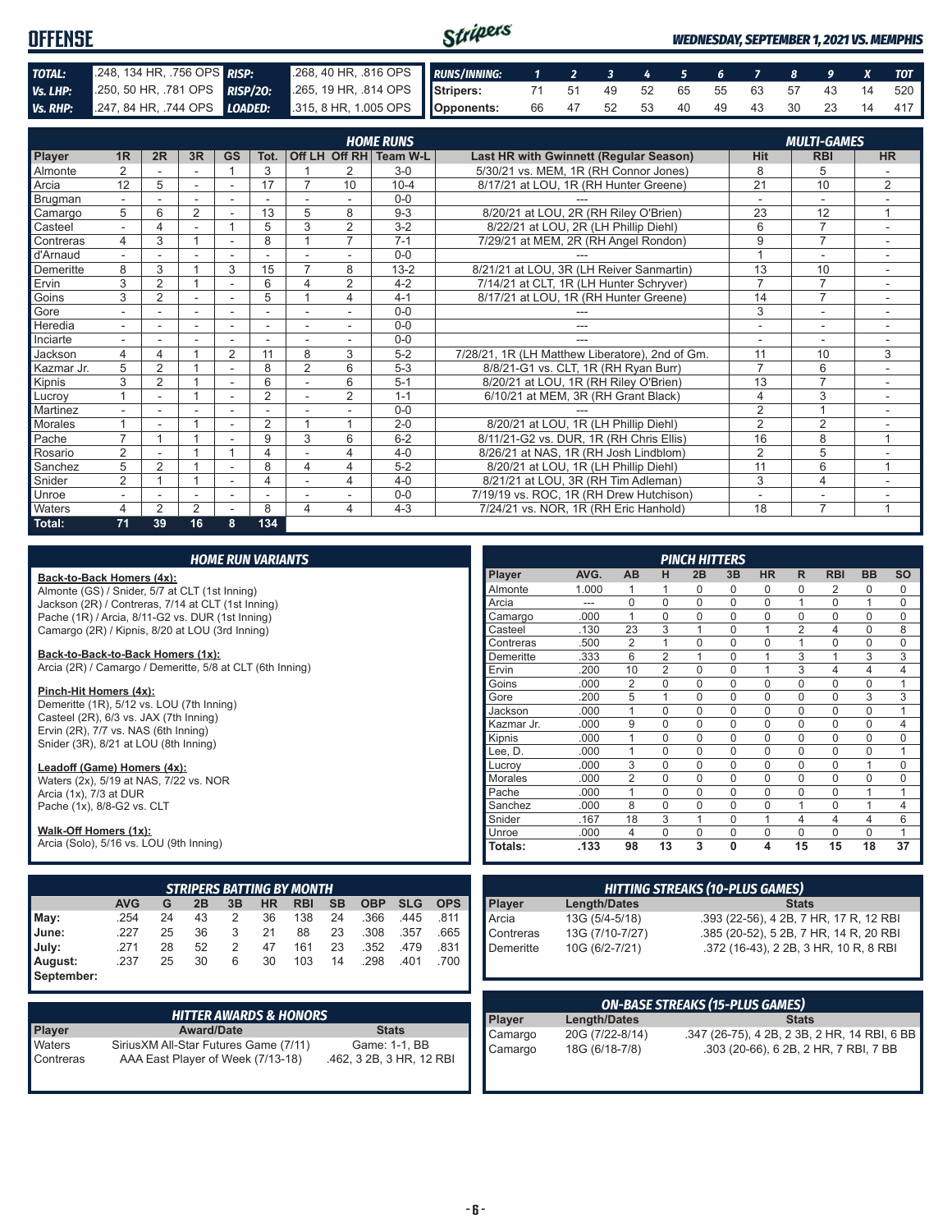| <b>OFFENSE</b> |                                                                      |                                                          | Stripers |  |  |  |  |                               | <b>WEDNESDAY, SEPTEMBER 1, 2021 VS. MEMPHIS</b> |
|----------------|----------------------------------------------------------------------|----------------------------------------------------------|----------|--|--|--|--|-------------------------------|-------------------------------------------------|
| TOTAL:         | 248, 134 HR, 756 OPS RISP:                                           | 268, 40 HR, 816 OPS RUNS/INNING: 1 2 3 4 5 6 7 8 9 X TOT |          |  |  |  |  |                               |                                                 |
| Vs. LHP:       | 250, 50 HR, .781 OPS RISP/20: 265, 19 HR, .814 OPS Stripers:         |                                                          |          |  |  |  |  |                               | 71 51 49 52 65 55 63 57 43 14 520               |
|                | Vs. RHP: 247, 84 HR, 744 OPS LOADED: 315, 8 HR, 1.005 OPS Opponents: |                                                          |          |  |  |  |  | 66 47 52 53 40 49 43 30 23 14 | 417                                             |

|                |                          |                |                |                          |                |                |                          | <b>HOME RUNS</b>       |                                                 |                          | <b>MULTI-GAMES</b>       |                |
|----------------|--------------------------|----------------|----------------|--------------------------|----------------|----------------|--------------------------|------------------------|-------------------------------------------------|--------------------------|--------------------------|----------------|
| Player         | 1 <sub>R</sub>           | 2R             | 3R             | <b>GS</b>                | Tot.           |                |                          | Off LH Off RH Team W-L | Last HR with Gwinnett (Regular Season)          | <b>Hit</b>               | <b>RBI</b>               | <b>HR</b>      |
| <b>Almonte</b> | 2                        |                |                | $\overline{A}$           | 3              |                | 2                        | $3-0$                  | 5/30/21 vs. MEM, 1R (RH Connor Jones)           | 8                        | 5                        |                |
| <b>A</b> rcia  | 12                       | 5              | $\sim$         | $\overline{a}$           | 17             |                | 10                       | $10 - 4$               | 8/17/21 at LOU, 1R (RH Hunter Greene)           | 21                       | 10                       | 2              |
| Brugman        |                          |                |                |                          |                |                |                          | $0 - 0$                |                                                 |                          | ٠                        |                |
| Camargo        | 5                        | 6              | $\overline{2}$ |                          | 13             | 5              | 8                        | $9 - 3$                | 8/20/21 at LOU, 2R (RH Riley O'Brien)           | 23                       | 12                       | 1              |
| Casteel        |                          | 4              |                |                          | 5              | 3              | 2                        | $3 - 2$                | 8/22/21 at LOU, 2R (LH Phillip Diehl)           | 6                        | $\overline{7}$           |                |
| Contreras      | 4                        | 3              | 4              |                          | 8              |                | $\overline{7}$           | $7 - 1$                | 7/29/21 at MEM, 2R (RH Angel Rondon)            | 9                        | $\overline{7}$           |                |
| d'Arnaud       | $\overline{\phantom{0}}$ |                |                |                          |                |                |                          | $0 - 0$                |                                                 |                          | ۰                        | ٠              |
| Demeritte      | 8                        | 3              |                | 3                        | 15             | 7              | 8                        | $13 - 2$               | 8/21/21 at LOU, 3R (LH Reiver Sanmartin)        | 13                       | 10                       |                |
| Ervin          | 3                        | $\overline{2}$ |                |                          | 6              | 4              | $\overline{2}$           | $4 - 2$                | 7/14/21 at CLT, 1R (LH Hunter Schryver)         | 7                        | $\overline{7}$           | $\sim$         |
| Goins          | 3                        | 2              |                |                          | 5              |                | 4                        | $4 - 1$                | 8/17/21 at LOU, 1R (RH Hunter Greene)           | 14                       | $\overline{7}$           | ۰              |
| Gore           |                          |                | ٠              |                          |                |                |                          | $0 - 0$                |                                                 | 3                        | ٠                        |                |
| Heredia        | $\sim$                   | ٠              | $\sim$         | $\overline{\phantom{a}}$ | ٠              |                | $\sim$                   | $0 - 0$                | ---                                             | ٠                        | $\overline{\phantom{a}}$ | $\sim$         |
| Inciarte       |                          |                |                |                          |                |                |                          | $0 - 0$                |                                                 | ٠                        | ٠                        |                |
| Jackson        | 4                        | 4              |                | $\overline{2}$           | 11             | 8              | 3                        | $5-2$                  | 7/28/21, 1R (LH Matthew Liberatore), 2nd of Gm. | 11                       | 10                       | 3              |
| Kazmar Jr.     | 5                        | $\overline{2}$ |                |                          | 8              | $\overline{2}$ | 6                        | $5-3$                  | 8/8/21-G1 vs. CLT, 1R (RH Ryan Burr)            | $\overline{7}$           | 6                        |                |
| Kipnis         | 3                        | $\overline{2}$ | 1              |                          | 6              |                | 6                        | $5 - 1$                | 8/20/21 at LOU, 1R (RH Riley O'Brien)           | 13                       | $\overline{7}$           |                |
| Lucroy         |                          | ۰              |                |                          | $\overline{2}$ |                | 2                        | $1 - 1$                | 6/10/21 at MEM, 3R (RH Grant Black)             | 4                        | 3                        | ٠              |
| Martinez       |                          |                |                |                          |                |                |                          | $0 - 0$                |                                                 | $\overline{2}$           | $\overline{ }$           |                |
| <b>Morales</b> |                          |                |                |                          | $\overline{2}$ |                |                          | $2 - 0$                | 8/20/21 at LOU, 1R (LH Phillip Diehl)           | $\overline{2}$           | $\overline{2}$           |                |
| Pache          | $\overline{ }$           |                |                |                          | 9              | 3              | 6                        | $6 - 2$                | 8/11/21-G2 vs. DUR, 1R (RH Chris Ellis)         | 16                       | 8                        | $\overline{A}$ |
| Rosario        | 2                        |                |                |                          | 4              |                | 4                        | $4 - 0$                | 8/26/21 at NAS, 1R (RH Josh Lindblom)           | $\overline{2}$           | 5                        |                |
| Sanchez        | 5                        | $\overline{2}$ |                |                          | 8              | 4              | 4                        | $5 - 2$                | 8/20/21 at LOU, 1R (LH Phillip Diehl)           | 11                       | 6                        |                |
| Snider         | $\overline{2}$           |                | 4              |                          | 4              |                | 4                        | $4 - 0$                | 8/21/21 at LOU, 3R (RH Tim Adleman)             | 3                        | 4                        |                |
| Unroe          | $\overline{\phantom{a}}$ |                | ۰              | ۰                        | ٠              |                | $\overline{\phantom{0}}$ | $0 - 0$                | 7/19/19 vs. ROC, 1R (RH Drew Hutchison)         | $\overline{\phantom{a}}$ | ۰                        | ۰              |
| <b>Waters</b>  | 4                        | $\overline{2}$ | $\overline{2}$ |                          | 8              | 4              | 4                        | $4 - 3$                | 7/24/21 vs. NOR. 1R (RH Eric Hanhold)           | 18                       | $\overline{7}$           |                |
| Total:         | 71                       | 39             | 16             | 8                        | 134            |                |                          |                        |                                                 |                          |                          |                |

| <b>HOME RUN VARIANTS</b>                                                                                      |               |                     |                                        |                | <b>PINCH HITTERS</b> |             |           |              |                |                |                 |
|---------------------------------------------------------------------------------------------------------------|---------------|---------------------|----------------------------------------|----------------|----------------------|-------------|-----------|--------------|----------------|----------------|-----------------|
| Back-to-Back Homers (4x):                                                                                     | Player        | AVG.                | <b>AB</b>                              | н              | 2B                   | 3B          | <b>HR</b> | R            | <b>RBI</b>     | <b>BB</b>      | <b>SO</b>       |
| Almonte (GS) / Snider, 5/7 at CLT (1st Inning)                                                                | Almonte       | 1.000               |                                        |                | $\Omega$             | 0           | 0         | $\Omega$     | 2              | $\Omega$       | 0               |
| Jackson (2R) / Contreras, 7/14 at CLT (1st Inning)                                                            | Arcia         | ---                 | $\Omega$                               | 0              | $\Omega$             | $\mathbf 0$ | 0         |              | $\mathbf 0$    | $\overline{ }$ | $\mathbf 0$     |
| Pache (1R) / Arcia, 8/11-G2 vs. DUR (1st Inning)                                                              | Camargo       | .000                | $\overline{1}$                         | $\Omega$       | $\Omega$             | $\Omega$    | 0         | $\Omega$     | $\Omega$       | $\Omega$       | $\mathbf 0$     |
| Camargo (2R) / Kipnis, 8/20 at LOU (3rd Inning)                                                               | Casteel       | .130                | 23                                     | 3              | $\mathbf{1}$         | $\Omega$    |           | 2            | 4              | $\Omega$       | 8               |
|                                                                                                               | Contreras     | .500                | 2                                      |                | $\Omega$             | $\Omega$    | 0         |              | $\mathbf 0$    | $\Omega$       | $\mathbf 0$     |
| Back-to-Back-to-Back Homers (1x):                                                                             | Demeritte     | .333                | 6                                      | $\overline{2}$ | 1                    | 0           |           | 3            |                | 3              | 3               |
| Arcia (2R) / Camargo / Demeritte, 5/8 at CLT (6th Inning)                                                     | Ervin         | .200                | 10                                     | $\overline{2}$ | $\Omega$             | $\mathbf 0$ |           | 3            | $\overline{4}$ | 4              | $\overline{4}$  |
|                                                                                                               | Goins         | .000                | $\overline{2}$                         | 0              | $\Omega$             | $\Omega$    | 0         | $\Omega$     | $\mathbf 0$    | $\Omega$       |                 |
| Pinch-Hit Homers (4x):                                                                                        | Gore          | .200                | 5                                      |                | $\Omega$             | $\Omega$    | $\Omega$  | $\Omega$     | 0              | 3              | 3               |
| Demeritte (1R), 5/12 vs. LOU (7th Inning)                                                                     | Jackson       | .000                |                                        | $\mathbf 0$    | $\Omega$             | $\Omega$    | 0         | $\Omega$     | $\mathbf 0$    | $\Omega$       |                 |
| Casteel (2R), 6/3 vs. JAX (7th Inning)                                                                        | Kazmar Jr.    | .000                | 9                                      | 0              | $\Omega$             | 0           | 0         | $\Omega$     | $\mathbf 0$    | $\Omega$       | 4               |
| Ervin (2R), 7/7 vs. NAS (6th Inning)<br>Snider (3R), 8/21 at LOU (8th Inning)                                 | Kipnis        | .000                |                                        | $\Omega$       | $\Omega$             | $\Omega$    | 0         | $\Omega$     | $\mathbf 0$    | $\Omega$       | $\mathbf 0$     |
|                                                                                                               | Lee, D.       | .000                | $\overline{1}$                         | $\Omega$       | $\Omega$             | $\Omega$    | $\Omega$  | $\Omega$     | $\mathbf 0$    | $\Omega$       |                 |
| Leadoff (Game) Homers (4x):                                                                                   | Lucrov        | .000                | 3                                      | $\Omega$       | $\Omega$             | $\Omega$    | 0         | 0            | $\mathbf 0$    |                | 0               |
| Waters (2x), 5/19 at NAS, 7/22 vs. NOR                                                                        | Morales       | .000                | $\overline{2}$                         | $\Omega$       | $\Omega$             | $\Omega$    | 0         | $\Omega$     | $\Omega$       | $\Omega$       | 0               |
| Arcia (1x), 7/3 at DUR                                                                                        | Pache         | .000                | $\overline{1}$                         | 0              | $\Omega$             | 0           | 0         | $\Omega$     | $\mathbf 0$    |                |                 |
| Pache (1x), 8/8-G2 vs. CLT                                                                                    | Sanchez       | .000                | 8                                      | $\Omega$       | $\Omega$             | $\Omega$    | 0         |              | $\Omega$       |                | 4               |
|                                                                                                               | Snider        | .167                | 18                                     | 3              | 1                    | $\Omega$    |           | 4            | $\overline{4}$ | 4              | 6               |
| Walk-Off Homers (1x):                                                                                         | Unroe         | .000                | $\overline{4}$                         | 0              | $\Omega$             | 0           | 0         | $\Omega$     | $\Omega$       | 0              |                 |
| Arcia (Solo), 5/16 vs. LOU (9th Inning)                                                                       | Totals:       | .133                | 98                                     | 13             | 3                    | 0           | 4         | 15           | 15             | 18             | $\overline{37}$ |
|                                                                                                               |               |                     |                                        |                |                      |             |           |              |                |                |                 |
| <b>STRIPERS BATTING BY MONTH</b>                                                                              |               |                     | <b>HITTING STREAKS (10-PLUS GAMES)</b> |                |                      |             |           |              |                |                |                 |
| <b>AVG</b><br><b>SB</b><br><b>SLG</b><br><b>OPS</b><br>G<br>2B<br>3B<br><b>HR</b><br><b>RBI</b><br><b>OBP</b> | <b>Player</b> | <b>Length/Dates</b> |                                        |                |                      |             |           | <b>Stats</b> |                |                |                 |

|            | <b>AVG</b> |    | 2B | 3B |    |        |    |               | HR RBI SB OBP SLG OPS                |
|------------|------------|----|----|----|----|--------|----|---------------|--------------------------------------|
| Mav:       | .254       | 24 | 43 |    | 36 | 138 24 |    |               |                                      |
| June:      | .227       | 25 | 36 | 3  | 21 |        |    | 88 23 308 357 | 811 .366 .445 .811<br>.308 .357 .665 |
| July:      | .271       | 28 | 52 |    | 47 | 161    | 23 |               | .352 .479 .831<br>.298 .401 .700     |
| August:    | .237       | 25 | 30 | 6  | 30 | 103    | 14 |               |                                      |
| September: |            |    |    |    |    |        |    |               |                                      |

|                     | <b>HITTER AWARDS &amp; HONORS</b>                                           |                                           |
|---------------------|-----------------------------------------------------------------------------|-------------------------------------------|
| Player              | <b>Award/Date</b>                                                           | <b>Stats</b>                              |
| Waters<br>Contreras | Sirius XM All-Star Futures Game (7/11)<br>AAA East Player of Week (7/13-18) | Game: 1-1, BB<br>.462, 3 2B, 3 HR, 12 RBI |

| <b>HITTING STREAKS (10-PLUS GAMES)</b> |                 |                                        |  |  |  |  |
|----------------------------------------|-----------------|----------------------------------------|--|--|--|--|
| Player                                 | Length/Dates    | <b>Stats</b>                           |  |  |  |  |
| Arcia                                  | 13G (5/4-5/18)  | .393 (22-56), 4 2B, 7 HR, 17 R, 12 RBI |  |  |  |  |
| Contreras                              | 13G (7/10-7/27) | .385 (20-52), 5 2B, 7 HR, 14 R, 20 RBI |  |  |  |  |
| Demeritte                              | 10G (6/2-7/21)  | .372 (16-43), 2 2B, 3 HR, 10 R, 8 RBI  |  |  |  |  |
|                                        |                 |                                        |  |  |  |  |

| Player  | <b>Length/Dates</b> | <b>Stats</b>                                 |
|---------|---------------------|----------------------------------------------|
| Camargo | 20G (7/22-8/14)     | .347 (26-75), 4 2B, 2 3B, 2 HR, 14 RBI, 6 BB |
| Camargo | 18G (6/18-7/8)      | .303 (20-66), 6 2B, 2 HR, 7 RBI, 7 BB        |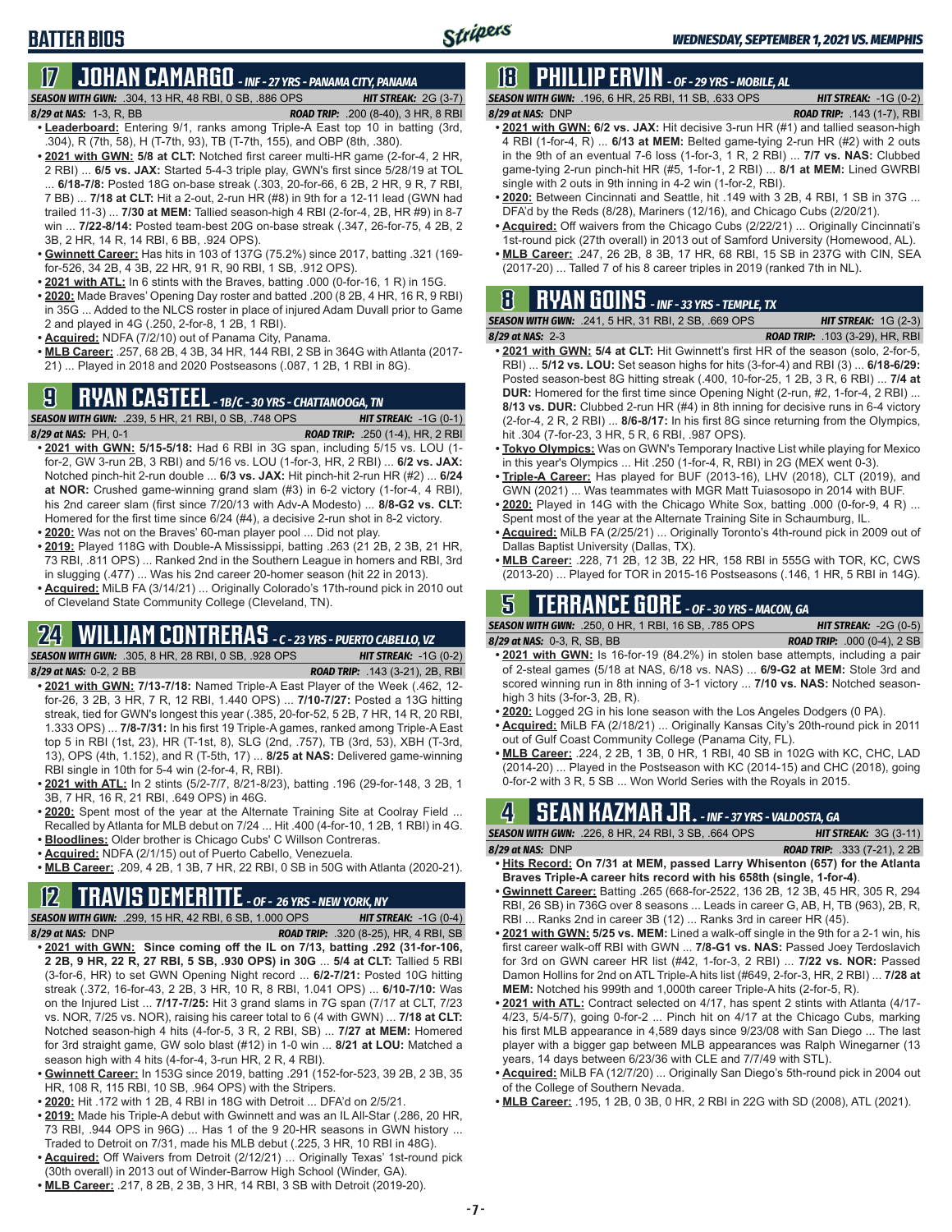# **BATTER BIOS**

# **17 JOHAN CAMARGO** *- INF - 27 YRS - PANAMA CITY, PANAMA*

*SEASON WITH GWN:*.304, 13 HR, 48 RBI, 0 SB, .886 OPS *HIT STREAK:* 2G (3-7)

- *8/29 at NAS:* 1-3, R, BB *ROAD TRIP:* .200 (8-40), 3 HR, 8 RBI **• Leaderboard:** Entering 9/1, ranks among Triple-A East top 10 in batting (3rd, .304), R (7th, 58), H (T-7th, 93), TB (T-7th, 155), and OBP (8th, .380).
- **• 2021 with GWN: 5/8 at CLT:** Notched first career multi-HR game (2-for-4, 2 HR, 2 RBI) ... **6/5 vs. JAX:** Started 5-4-3 triple play, GWN's first since 5/28/19 at TOL ... **6/18-7/8:** Posted 18G on-base streak (.303, 20-for-66, 6 2B, 2 HR, 9 R, 7 RBI, 7 BB) ... **7/18 at CLT:** Hit a 2-out, 2-run HR (#8) in 9th for a 12-11 lead (GWN had trailed 11-3) ... **7/30 at MEM:** Tallied season-high 4 RBI (2-for-4, 2B, HR #9) in 8-7 win ... **7/22-8/14:** Posted team-best 20G on-base streak (.347, 26-for-75, 4 2B, 2 3B, 2 HR, 14 R, 14 RBI, 6 BB, .924 OPS).
- **• Gwinnett Career:** Has hits in 103 of 137G (75.2%) since 2017, batting .321 (169 for-526, 34 2B, 4 3B, 22 HR, 91 R, 90 RBI, 1 SB, .912 OPS).
- **• 2021 with ATL:** In 6 stints with the Braves, batting .000 (0-for-16, 1 R) in 15G.
- **• 2020:** Made Braves' Opening Day roster and batted .200 (8 2B, 4 HR, 16 R, 9 RBI) in 35G ... Added to the NLCS roster in place of injured Adam Duvall prior to Game 2 and played in 4G (.250, 2-for-8, 1 2B, 1 RBI).
- **• Acquired:** NDFA (7/2/10) out of Panama City, Panama.
- **• MLB Career:** .257, 68 2B, 4 3B, 34 HR, 144 RBI, 2 SB in 364G with Atlanta (2017- 21) ... Played in 2018 and 2020 Postseasons (.087, 1 2B, 1 RBI in 8G).

### **9 RYAN CASTEEL** *- 1B/C - 30 YRS - CHATTANOOGA, TN*

*SEASON WITH GWN:*.239, 5 HR, 21 RBI, 0 SB, .748 OPS *HIT STREAK:* -1G (0-1) *8/29 at NAS:*PH, 0-1 *ROAD TRIP:* .250 (1-4), HR, 2 RBI

- **• 2021 with GWN: 5/15-5/18:** Had 6 RBI in 3G span, including 5/15 vs. LOU (1 for-2, GW 3-run 2B, 3 RBI) and 5/16 vs. LOU (1-for-3, HR, 2 RBI) ... **6/2 vs. JAX:** Notched pinch-hit 2-run double ... **6/3 vs. JAX:** Hit pinch-hit 2-run HR (#2) ... **6/24 at NOR:** Crushed game-winning grand slam (#3) in 6-2 victory (1-for-4, 4 RBI), his 2nd career slam (first since 7/20/13 with Adv-A Modesto) ... **8/8-G2 vs. CLT:** Homered for the first time since 6/24 (#4), a decisive 2-run shot in 8-2 victory.
- **• 2020:** Was not on the Braves' 60-man player pool ... Did not play.
- **• 2019:** Played 118G with Double-A Mississippi, batting .263 (21 2B, 2 3B, 21 HR, 73 RBI, .811 OPS) ... Ranked 2nd in the Southern League in homers and RBI, 3rd in slugging (.477) ... Was his 2nd career 20-homer season (hit 22 in 2013).
- **• Acquired:** MiLB FA (3/14/21) ... Originally Colorado's 17th-round pick in 2010 out of Cleveland State Community College (Cleveland, TN).

# **24 WILLIAM CONTRERAS** *- C - 23 YRS - PUERTO CABELLO, VZ*

*SEASON WITH GWN:*.305, 8 HR, 28 RBI, 0 SB, .928 OPS *HIT STREAK:* -1G (0-2)

*8/29 at NAS:* 0-2, 2 BB *ROAD TRIP:* .143 (3-21), 2B, RBI

- **• 2021 with GWN: 7/13-7/18:** Named Triple-A East Player of the Week (.462, 12 for-26, 3 2B, 3 HR, 7 R, 12 RBI, 1.440 OPS) ... **7/10-7/27:** Posted a 13G hitting streak, tied for GWN's longest this year (.385, 20-for-52, 5 2B, 7 HR, 14 R, 20 RBI, 1.333 OPS) ... **7/8-7/31:** In his first 19 Triple-A games, ranked among Triple-A East top 5 in RBI (1st, 23), HR (T-1st, 8), SLG (2nd, .757), TB (3rd, 53), XBH (T-3rd, 13), OPS (4th, 1.152), and R (T-5th, 17) ... **8/25 at NAS:** Delivered game-winning RBI single in 10th for 5-4 win (2-for-4, R, RBI).
- **• 2021 with ATL:** In 2 stints (5/2-7/7, 8/21-8/23), batting .196 (29-for-148, 3 2B, 1 3B, 7 HR, 16 R, 21 RBI, .649 OPS) in 46G.
- **• 2020:** Spent most of the year at the Alternate Training Site at Coolray Field ... Recalled by Atlanta for MLB debut on 7/24 ... Hit .400 (4-for-10, 1 2B, 1 RBI) in 4G.
- **• Bloodlines:** Older brother is Chicago Cubs' C Willson Contreras.
- **• Acquired:** NDFA (2/1/15) out of Puerto Cabello, Venezuela.

**• MLB Career:** .209, 4 2B, 1 3B, 7 HR, 22 RBI, 0 SB in 50G with Atlanta (2020-21).

#### **12 TRAVIS DEMERITTE** *- OF - 26 YRS - NEW YORK, NY SEASON WITH GWN:*.299, 15 HR, 42 RBI, 6 SB, 1.000 OPS *HIT STREAK:* -1G (0-4)

- *8/29 at NAS:*DNP *ROAD TRIP:* .320 (8-25), HR, 4 RBI, SB **• 2021 with GWN: Since coming off the IL on 7/13, batting .292 (31-for-106, 2 2B, 9 HR, 22 R, 27 RBI, 5 SB, .930 OPS) in 30G** ... **5/4 at CLT:** Tallied 5 RBI (3-for-6, HR) to set GWN Opening Night record ... **6/2-7/21:** Posted 10G hitting streak (.372, 16-for-43, 2 2B, 3 HR, 10 R, 8 RBI, 1.041 OPS) ... **6/10-7/10:** Was on the Injured List ... **7/17-7/25:** Hit 3 grand slams in 7G span (7/17 at CLT, 7/23 vs. NOR, 7/25 vs. NOR), raising his career total to 6 (4 with GWN) ... **7/18 at CLT:** Notched season-high 4 hits (4-for-5, 3 R, 2 RBI, SB) ... **7/27 at MEM:** Homered for 3rd straight game, GW solo blast (#12) in 1-0 win ... **8/21 at LOU:** Matched a season high with 4 hits (4-for-4, 3-run HR, 2 R, 4 RBI).
- **• Gwinnett Career:** In 153G since 2019, batting .291 (152-for-523, 39 2B, 2 3B, 35 HR, 108 R, 115 RBI, 10 SB, .964 OPS) with the Stripers.
- **• 2020:** Hit .172 with 1 2B, 4 RBI in 18G with Detroit ... DFA'd on 2/5/21.
- **• 2019:** Made his Triple-A debut with Gwinnett and was an IL All-Star (.286, 20 HR, 73 RBI, .944 OPS in 96G) ... Has 1 of the 9 20-HR seasons in GWN history Traded to Detroit on 7/31, made his MLB debut (.225, 3 HR, 10 RBI in 48G).
- **• Acquired:** Off Waivers from Detroit (2/12/21) ... Originally Texas' 1st-round pick (30th overall) in 2013 out of Winder-Barrow High School (Winder, GA).
- **• MLB Career:** .217, 8 2B, 2 3B, 3 HR, 14 RBI, 3 SB with Detroit (2019-20).

#### **18 PHILLIP ERVIN** *- OF - 29 YRS - MOBILE, AL SEASON WITH GWN:*.196, 6 HR, 25 RBI, 11 SB, .633 OPS *HIT STREAK:* -1G (0-2)

*8/29 at NAS:*DNP *ROAD TRIP:* .143 (1-7), RBI

- **• 2021 with GWN: 6/2 vs. JAX:** Hit decisive 3-run HR (#1) and tallied season-high 4 RBI (1-for-4, R) ... **6/13 at MEM:** Belted game-tying 2-run HR (#2) with 2 outs in the 9th of an eventual 7-6 loss (1-for-3, 1 R, 2 RBI) ... **7/7 vs. NAS:** Clubbed game-tying 2-run pinch-hit HR (#5, 1-for-1, 2 RBI) ... **8/1 at MEM:** Lined GWRBI single with 2 outs in 9th inning in 4-2 win (1-for-2, RBI).
- **• 2020:** Between Cincinnati and Seattle, hit .149 with 3 2B, 4 RBI, 1 SB in 37G ... DFA'd by the Reds (8/28), Mariners (12/16), and Chicago Cubs (2/20/21).
- **• Acquired:** Off waivers from the Chicago Cubs (2/22/21) ... Originally Cincinnati's 1st-round pick (27th overall) in 2013 out of Samford University (Homewood, AL).
- **• MLB Career:** .247, 26 2B, 8 3B, 17 HR, 68 RBI, 15 SB in 237G with CIN, SEA (2017-20) ... Talled 7 of his 8 career triples in 2019 (ranked 7th in NL).

# **8 RYAN GOINS** *- INF - 33 YRS - TEMPLE, TX*

*SEASON WITH GWN:*.241, 5 HR, 31 RBI, 2 SB, .669 OPS *HIT STREAK:* 1G (2-3) *8/29 at NAS:*2-3 *ROAD TRIP:* .103 (3-29), HR, RBI

- **• 2021 with GWN: 5/4 at CLT:** Hit Gwinnett's first HR of the season (solo, 2-for-5, RBI) ... **5/12 vs. LOU:** Set season highs for hits (3-for-4) and RBI (3) ... **6/18-6/29:** Posted season-best 8G hitting streak (.400, 10-for-25, 1 2B, 3 R, 6 RBI) ... **7/4 at DUR:** Homered for the first time since Opening Night (2-run, #2, 1-for-4, 2 RBI) ... **8/13 vs. DUR:** Clubbed 2-run HR (#4) in 8th inning for decisive runs in 6-4 victory (2-for-4, 2 R, 2 RBI) ... **8/6-8/17:** In his first 8G since returning from the Olympics, hit .304 (7-for-23, 3 HR, 5 R, 6 RBI, .987 OPS).
- **• Tokyo Olympics:** Was on GWN's Temporary Inactive List while playing for Mexico in this year's Olympics ... Hit .250 (1-for-4, R, RBI) in 2G (MEX went 0-3).
- **• Triple-A Career:** Has played for BUF (2013-16), LHV (2018), CLT (2019), and GWN (2021) ... Was teammates with MGR Matt Tuiasosopo in 2014 with BUF.
- **• 2020:** Played in 14G with the Chicago White Sox, batting .000 (0-for-9, 4 R) ... Spent most of the year at the Alternate Training Site in Schaumburg, IL.
- **• Acquired:** MiLB FA (2/25/21) ... Originally Toronto's 4th-round pick in 2009 out of Dallas Baptist University (Dallas, TX).
- **• MLB Career:** .228, 71 2B, 12 3B, 22 HR, 158 RBI in 555G with TOR, KC, CWS (2013-20) ... Played for TOR in 2015-16 Postseasons (.146, 1 HR, 5 RBI in 14G).

# **5 TERRANCE GORE** *- OF - 30 YRS - MACON, GA*

*SEASON WITH GWN:*.250, 0 HR, 1 RBI, 16 SB, .785 OPS *HIT STREAK:* -2G (0-5) *8/29 at NAS:*0-3, R, SB, BB *ROAD TRIP:* .000 (0-4), 2 SB

- **• 2021 with GWN:** Is 16-for-19 (84.2%) in stolen base attempts, including a pair of 2-steal games (5/18 at NAS, 6/18 vs. NAS) ... **6/9-G2 at MEM:** Stole 3rd and scored winning run in 8th inning of 3-1 victory ... **7/10 vs. NAS:** Notched seasonhigh 3 hits (3-for-3, 2B, R).
- **• 2020:** Logged 2G in his lone season with the Los Angeles Dodgers (0 PA).
- **• Acquired:** MiLB FA (2/18/21) ... Originally Kansas City's 20th-round pick in 2011 out of Gulf Coast Community College (Panama City, FL).
- **• MLB Career:** .224, 2 2B, 1 3B, 0 HR, 1 RBI, 40 SB in 102G with KC, CHC, LAD (2014-20) ... Played in the Postseason with KC (2014-15) and CHC (2018), going 0-for-2 with 3 R, 5 SB ... Won World Series with the Royals in 2015.

# **4 SEAN KAZMAR JR.** *- INF - 37 YRS - VALDOSTA, GA*

*SEASON WITH GWN:*.226, 8 HR, 24 RBI, 3 SB, .664 OPS *HIT STREAK:* 3G (3-11) *8/29 at NAS:*DNP *ROAD TRIP:* .333 (7-21), 2 2B

- **• Hits Record: On 7/31 at MEM, passed Larry Whisenton (657) for the Atlanta Braves Triple-A career hits record with his 658th (single, 1-for-4)**.
- **• Gwinnett Career:** Batting .265 (668-for-2522, 136 2B, 12 3B, 45 HR, 305 R, 294 RBI, 26 SB) in 736G over 8 seasons ... Leads in career G, AB, H, TB (963), 2B, R, RBI ... Ranks 2nd in career 3B (12) ... Ranks 3rd in career HR (45).
- **• 2021 with GWN: 5/25 vs. MEM:** Lined a walk-off single in the 9th for a 2-1 win, his first career walk-off RBI with GWN ... **7/8-G1 vs. NAS:** Passed Joey Terdoslavich for 3rd on GWN career HR list (#42, 1-for-3, 2 RBI) ... **7/22 vs. NOR:** Passed Damon Hollins for 2nd on ATL Triple-A hits list (#649, 2-for-3, HR, 2 RBI) ... **7/28 at MEM:** Notched his 999th and 1,000th career Triple-A hits (2-for-5, R).
- **• 2021 with ATL:** Contract selected on 4/17, has spent 2 stints with Atlanta (4/17- 4/23, 5/4-5/7), going 0-for-2 ... Pinch hit on 4/17 at the Chicago Cubs, marking his first MLB appearance in 4,589 days since 9/23/08 with San Diego ... The last player with a bigger gap between MLB appearances was Ralph Winegarner (13 years, 14 days between 6/23/36 with CLE and 7/7/49 with STL).
- **• Acquired:** MiLB FA (12/7/20) ... Originally San Diego's 5th-round pick in 2004 out of the College of Southern Nevada.
- **• MLB Career:** .195, 1 2B, 0 3B, 0 HR, 2 RBI in 22G with SD (2008), ATL (2021).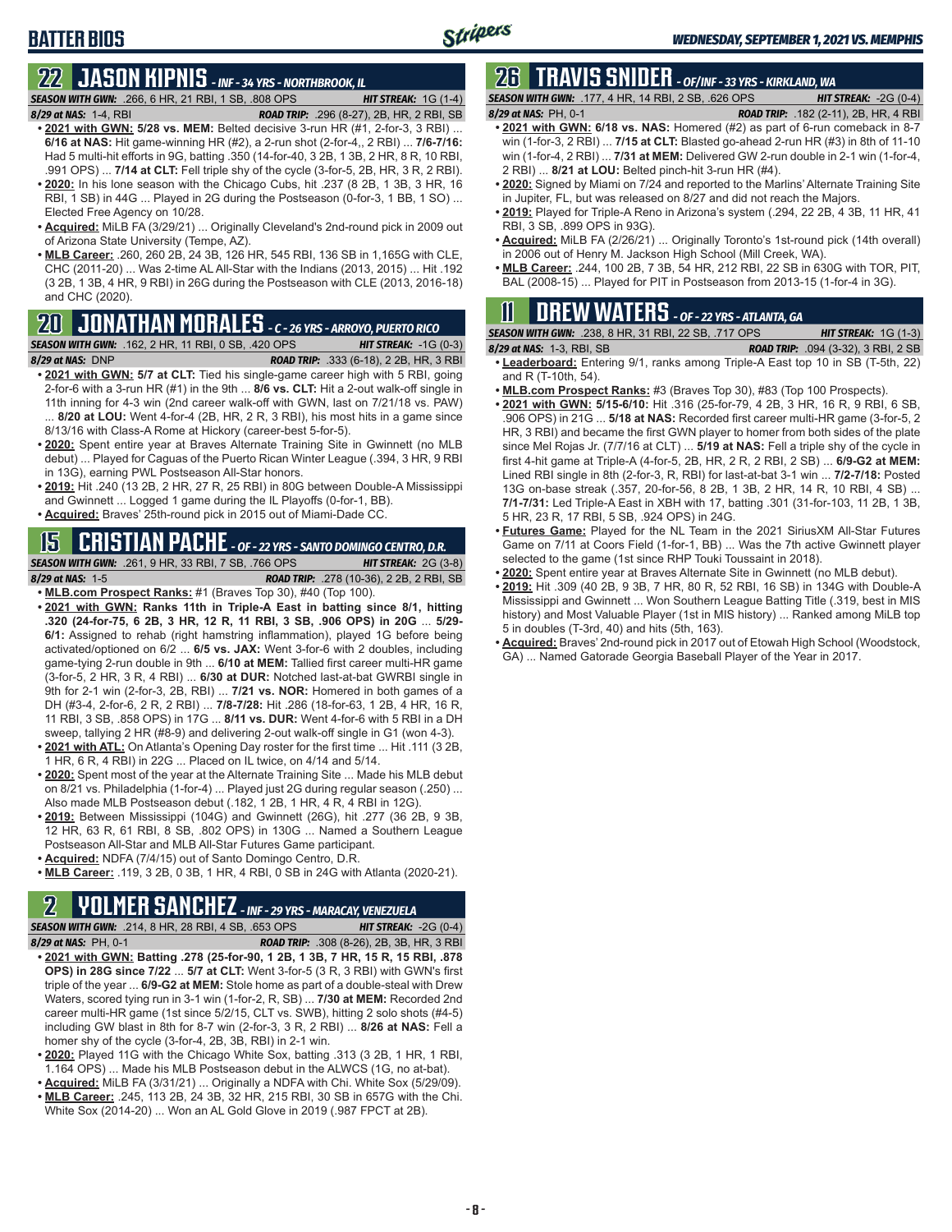**22 JASON KIPNIS** *- INF - 34 YRS - NORTHBROOK, IL SEASON WITH GWN:*.266, 6 HR, 21 RBI, 1 SB, .808 OPS *HIT STREAK:* 1G (1-4)

**BATTER BIOS**

- *8/29 at NAS:*1-4, RBI *ROAD TRIP:* .296 (8-27), 2B, HR, 2 RBI, SB **• 2021 with GWN: 5/28 vs. MEM:** Belted decisive 3-run HR (#1, 2-for-3, 3 RBI) ... **6/16 at NAS:** Hit game-winning HR (#2), a 2-run shot (2-for-4,, 2 RBI) ... **7/6-7/16:** Had 5 multi-hit efforts in 9G, batting .350 (14-for-40, 3 2B, 1 3B, 2 HR, 8 R, 10 RBI, .991 OPS) ... **7/14 at CLT:** Fell triple shy of the cycle (3-for-5, 2B, HR, 3 R, 2 RBI).
- **• 2020:** In his lone season with the Chicago Cubs, hit .237 (8 2B, 1 3B, 3 HR, 16 RBI, 1 SB) in 44G ... Played in 2G during the Postseason (0-for-3, 1 BB, 1 SO) ... Elected Free Agency on 10/28.
- **• Acquired:** MiLB FA (3/29/21) ... Originally Cleveland's 2nd-round pick in 2009 out of Arizona State University (Tempe, AZ).
- **• MLB Career:** .260, 260 2B, 24 3B, 126 HR, 545 RBI, 136 SB in 1,165G with CLE, CHC (2011-20) ... Was 2-time AL All-Star with the Indians (2013, 2015) ... Hit .192 (3 2B, 1 3B, 4 HR, 9 RBI) in 26G during the Postseason with CLE (2013, 2016-18) and CHC (2020).

# **20 JONATHAN MORALES** *- C - 26 YRS - ARROYO, PUERTO RICO*

*SEASON WITH GWN:*.162, 2 HR, 11 RBI, 0 SB, .420 OPS *HIT STREAK:* -1G (0-3) *8/29 at NAS:*DNP *ROAD TRIP:* .333 (6-18), 2 2B, HR, 3 RBI

- **• 2021 with GWN: 5/7 at CLT:** Tied his single-game career high with 5 RBI, going 2-for-6 with a 3-run HR (#1) in the 9th ... **8/6 vs. CLT:** Hit a 2-out walk-off single in 11th inning for 4-3 win (2nd career walk-off with GWN, last on 7/21/18 vs. PAW) 8/20 at LOU: Went 4-for-4 (2B, HR, 2 R, 3 RBI), his most hits in a game since 8/13/16 with Class-A Rome at Hickory (career-best 5-for-5).
- **• 2020:** Spent entire year at Braves Alternate Training Site in Gwinnett (no MLB debut) ... Played for Caguas of the Puerto Rican Winter League (.394, 3 HR, 9 RBI in 13G), earning PWL Postseason All-Star honors.
- **• 2019:** Hit .240 (13 2B, 2 HR, 27 R, 25 RBI) in 80G between Double-A Mississippi and Gwinnett ... Logged 1 game during the IL Playoffs (0-for-1, BB).
- **• Acquired:** Braves' 25th-round pick in 2015 out of Miami-Dade CC.

#### **15 CRISTIAN PACHE** *- OF - 22 YRS - SANTO DOMINGO CENTRO, D.R.*

*SEASON WITH GWN:*.261, 9 HR, 33 RBI, 7 SB, .766 OPS *HIT STREAK:* 2G (3-8) *8/29 at NAS:* 1-5 *ROAD TRIP:* .278 (10-36), 2 2B, 2 RBI, SB

- **• MLB.com Prospect Ranks:** #1 (Braves Top 30), #40 (Top 100). **• 2021 with GWN: Ranks 11th in Triple-A East in batting since 8/1, hitting .320 (24-for-75, 6 2B, 3 HR, 12 R, 11 RBI, 3 SB, .906 OPS) in 20G** ... **5/29- 6/1:** Assigned to rehab (right hamstring inflammation), played 1G before being activated/optioned on 6/2 ... **6/5 vs. JAX:** Went 3-for-6 with 2 doubles, including game-tying 2-run double in 9th ... **6/10 at MEM:** Tallied first career multi-HR game (3-for-5, 2 HR, 3 R, 4 RBI) ... **6/30 at DUR:** Notched last-at-bat GWRBI single in 9th for 2-1 win (2-for-3, 2B, RBI) ... **7/21 vs. NOR:** Homered in both games of a DH (#3-4, 2-for-6, 2 R, 2 RBI) ... **7/8-7/28:** Hit .286 (18-for-63, 1 2B, 4 HR, 16 R, 11 RBI, 3 SB, .858 OPS) in 17G ... **8/11 vs. DUR:** Went 4-for-6 with 5 RBI in a DH sweep, tallying 2 HR (#8-9) and delivering 2-out walk-off single in G1 (won 4-3).
- **• 2021 with ATL:** On Atlanta's Opening Day roster for the first time ... Hit .111 (3 2B, 1 HR, 6 R, 4 RBI) in 22G ... Placed on IL twice, on 4/14 and 5/14.
- **• 2020:** Spent most of the year at the Alternate Training Site ... Made his MLB debut on 8/21 vs. Philadelphia (1-for-4) ... Played just 2G during regular season (.250) ... Also made MLB Postseason debut (.182, 1 2B, 1 HR, 4 R, 4 RBI in 12G).
- **• 2019:** Between Mississippi (104G) and Gwinnett (26G), hit .277 (36 2B, 9 3B, 12 HR, 63 R, 61 RBI, 8 SB, .802 OPS) in 130G ... Named a Southern League Postseason All-Star and MLB All-Star Futures Game participant.
- **• Acquired:** NDFA (7/4/15) out of Santo Domingo Centro, D.R.
- **• MLB Career:** .119, 3 2B, 0 3B, 1 HR, 4 RBI, 0 SB in 24G with Atlanta (2020-21).

# **2 YOLMER SANCHEZ** *- INF - 29 YRS - MARACAY, VENEZUELA*

*SEASON WITH GWN:*.214, 8 HR, 28 RBI, 4 SB, .653 OPS *HIT STREAK:* -2G (0-4)

- *8/29 at NAS:*PH, 0-1 *ROAD TRIP:* .308 (8-26), 2B, 3B, HR, 3 RBI **• 2021 with GWN: Batting .278 (25-for-90, 1 2B, 1 3B, 7 HR, 15 R, 15 RBI, .878 OPS) in 28G since 7/22** ... **5/7 at CLT:** Went 3-for-5 (3 R, 3 RBI) with GWN's first triple of the year ... **6/9-G2 at MEM:** Stole home as part of a double-steal with Drew Waters, scored tying run in 3-1 win (1-for-2, R, SB) ... **7/30 at MEM:** Recorded 2nd career multi-HR game (1st since 5/2/15, CLT vs. SWB), hitting 2 solo shots (#4-5) including GW blast in 8th for 8-7 win (2-for-3, 3 R, 2 RBI) ... **8/26 at NAS:** Fell a homer shy of the cycle (3-for-4, 2B, 3B, RBI) in 2-1 win.
- **• 2020:** Played 11G with the Chicago White Sox, batting .313 (3 2B, 1 HR, 1 RBI, 1.164 OPS) ... Made his MLB Postseason debut in the ALWCS (1G, no at-bat).
- **• Acquired:** MiLB FA (3/31/21) ... Originally a NDFA with Chi. White Sox (5/29/09).
- **• MLB Career:** .245, 113 2B, 24 3B, 32 HR, 215 RBI, 30 SB in 657G with the Chi. White Sox (2014-20) ... Won an AL Gold Glove in 2019 (.987 FPCT at 2B).

# **26 TRAVIS SNIDER** *- OF/INF - 33 YRS - KIRKLAND, WA*

*SEASON WITH GWN:*.177, 4 HR, 14 RBI, 2 SB, .626 OPS *HIT STREAK:* -2G (0-4)

*8/29 at NAS:* PH, 0-1 *ROAD TRIP:* .182 (2-11), 2B, HR, 4 RBI

- **• 2021 with GWN: 6/18 vs. NAS:** Homered (#2) as part of 6-run comeback in 8-7 win (1-for-3, 2 RBI) ... **7/15 at CLT:** Blasted go-ahead 2-run HR (#3) in 8th of 11-10 win (1-for-4, 2 RBI) ... **7/31 at MEM:** Delivered GW 2-run double in 2-1 win (1-for-4, 2 RBI) ... **8/21 at LOU:** Belted pinch-hit 3-run HR (#4).
- **• 2020:** Signed by Miami on 7/24 and reported to the Marlins' Alternate Training Site in Jupiter, FL, but was released on 8/27 and did not reach the Majors.
- **• 2019:** Played for Triple-A Reno in Arizona's system (.294, 22 2B, 4 3B, 11 HR, 41 RBI, 3 SB, .899 OPS in 93G).
- **• Acquired:** MiLB FA (2/26/21) ... Originally Toronto's 1st-round pick (14th overall) in 2006 out of Henry M. Jackson High School (Mill Creek, WA).
- **• MLB Career:** .244, 100 2B, 7 3B, 54 HR, 212 RBI, 22 SB in 630G with TOR, PIT, BAL (2008-15) ... Played for PIT in Postseason from 2013-15 (1-for-4 in 3G).

## **11 Drew WATERS** *- OF - 22 YRS - ATLANTA, GA*

| <b>SEASON WITH GWN:</b> .238. 8 HR. 31 RBI. 22 SB. .717 OPS | <b>HIT STREAK:</b> $1G(1-3)$                 |  |
|-------------------------------------------------------------|----------------------------------------------|--|
| 8/29 at NAS: 1-3, RBI, SB                                   | <b>ROAD TRIP:</b> $.094$ (3-32), 3 RBI, 2 SB |  |

- **• Leaderboard:** Entering 9/1, ranks among Triple-A East top 10 in SB (T-5th, 22) and R (T-10th, 54).
- **• MLB.com Prospect Ranks:** #3 (Braves Top 30), #83 (Top 100 Prospects).
- **• 2021 with GWN: 5/15-6/10:** Hit .316 (25-for-79, 4 2B, 3 HR, 16 R, 9 RBI, 6 SB, .906 OPS) in 21G ... **5/18 at NAS:** Recorded first career multi-HR game (3-for-5, 2 HR, 3 RBI) and became the first GWN player to homer from both sides of the plate since Mel Rojas Jr. (7/7/16 at CLT) ... **5/19 at NAS:** Fell a triple shy of the cycle in first 4-hit game at Triple-A (4-for-5, 2B, HR, 2 R, 2 RBI, 2 SB) ... **6/9-G2 at MEM:** Lined RBI single in 8th (2-for-3, R, RBI) for last-at-bat 3-1 win ... **7/2-7/18:** Posted 13G on-base streak (.357, 20-for-56, 8 2B, 1 3B, 2 HR, 14 R, 10 RBI, 4 SB) ... **7/1-7/31:** Led Triple-A East in XBH with 17, batting .301 (31-for-103, 11 2B, 1 3B, 5 HR, 23 R, 17 RBI, 5 SB, .924 OPS) in 24G.
- **• Futures Game:** Played for the NL Team in the 2021 SiriusXM All-Star Futures Game on 7/11 at Coors Field (1-for-1, BB) ... Was the 7th active Gwinnett player selected to the game (1st since RHP Touki Toussaint in 2018).
- **• 2020:** Spent entire year at Braves Alternate Site in Gwinnett (no MLB debut).
- **• 2019:** Hit .309 (40 2B, 9 3B, 7 HR, 80 R, 52 RBI, 16 SB) in 134G with Double-A Mississippi and Gwinnett ... Won Southern League Batting Title (.319, best in MIS history) and Most Valuable Player (1st in MIS history) ... Ranked among MiLB top 5 in doubles (T-3rd, 40) and hits (5th, 163).
- **• Acquired:** Braves' 2nd-round pick in 2017 out of Etowah High School (Woodstock, GA) ... Named Gatorade Georgia Baseball Player of the Year in 2017.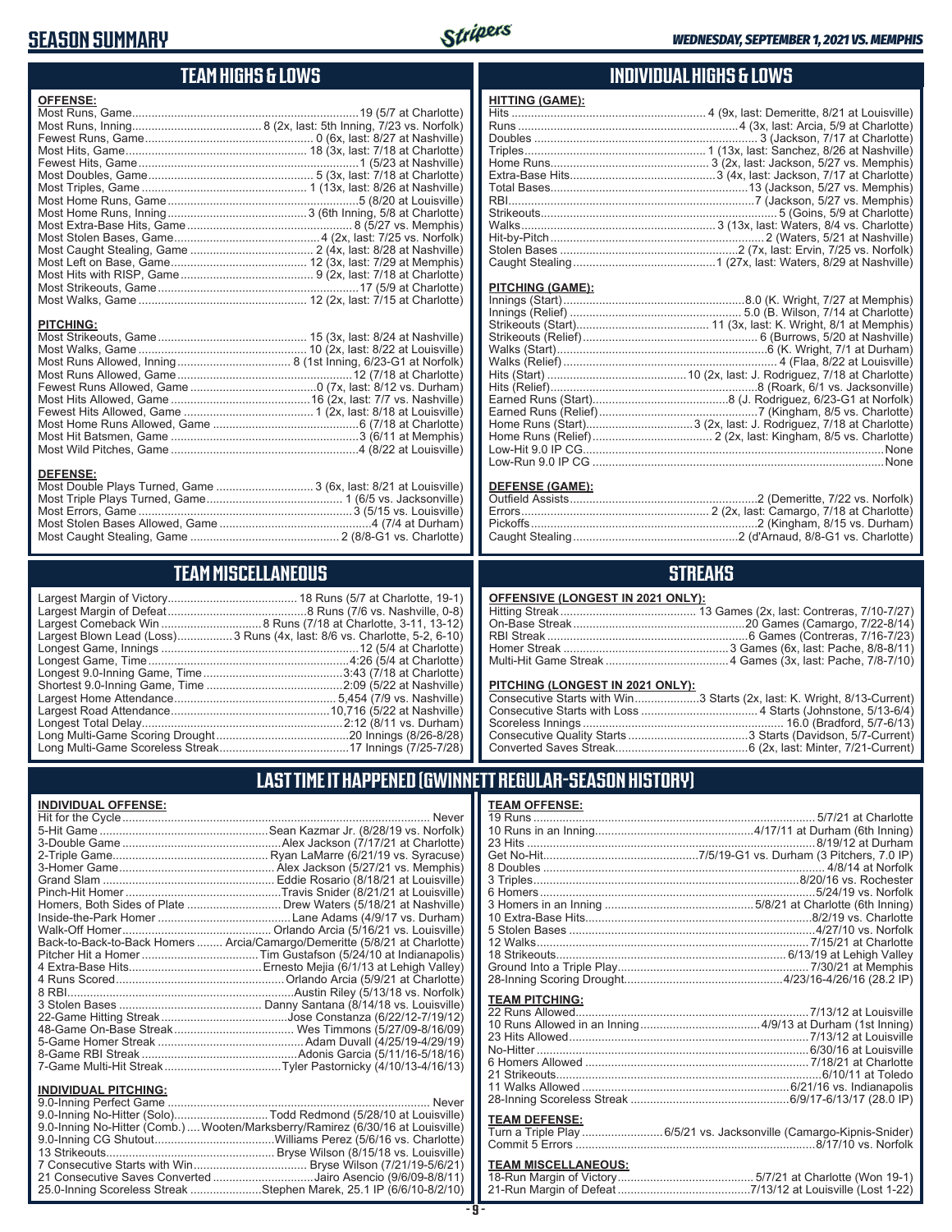### **SEASON SUMMARY**



### **TEAM HIGHS & LOWS**

| <b>OFFENSE:</b>  |                                                                  |
|------------------|------------------------------------------------------------------|
|                  |                                                                  |
|                  |                                                                  |
|                  |                                                                  |
|                  |                                                                  |
|                  |                                                                  |
|                  |                                                                  |
|                  |                                                                  |
|                  |                                                                  |
|                  |                                                                  |
|                  |                                                                  |
|                  |                                                                  |
|                  |                                                                  |
|                  |                                                                  |
|                  |                                                                  |
|                  |                                                                  |
|                  |                                                                  |
|                  |                                                                  |
|                  |                                                                  |
| <b>PITCHING:</b> |                                                                  |
|                  |                                                                  |
|                  |                                                                  |
|                  |                                                                  |
|                  |                                                                  |
|                  |                                                                  |
|                  |                                                                  |
|                  |                                                                  |
|                  |                                                                  |
|                  |                                                                  |
|                  |                                                                  |
| <b>DEFENSE:</b>  |                                                                  |
|                  | Most Double Plays Turned, Game  3 (6x, last: 8/21 at Louisville) |
|                  |                                                                  |
|                  |                                                                  |

#### **TEAM MISCELLANEOUS**

Most Caught Stealing, Game .............................................. 2 (8/8-G1 vs. Charlotte)

| Largest Blown Lead (Loss) 3 Runs (4x, last: 8/6 vs. Charlotte, 5-2, 6-10) |
|---------------------------------------------------------------------------|
|                                                                           |
|                                                                           |
|                                                                           |
|                                                                           |
|                                                                           |
|                                                                           |
|                                                                           |
|                                                                           |
|                                                                           |

#### **INDIVIDUAL HIGHS & LOWS**

| <b>HITTING (GAME):</b> |  |
|------------------------|--|
|                        |  |
|                        |  |
|                        |  |
|                        |  |
|                        |  |
|                        |  |
|                        |  |
|                        |  |
|                        |  |
|                        |  |
|                        |  |
|                        |  |
|                        |  |
|                        |  |

#### **PITCHING (GAME):**

| None |
|------|
|      |
|      |

#### **DEFENSE (GAME):**

### **STREAKS**

#### **OFFENSIVE (LONGEST IN 2021 ONLY):**

#### **PITCHING (LONGEST IN 2021 ONLY):**

| Consecutive Starts with Win3 Starts (2x, last: K. Wright, 8/13-Current) |
|-------------------------------------------------------------------------|
|                                                                         |
|                                                                         |
|                                                                         |
|                                                                         |
|                                                                         |

### **LAST TIME IT HAPPENED (GWINNETT REGULAR-SEASON HISTORY)**

#### **INDIVIDUAL OFFENSE:**

|                                                               | Homers, Both Sides of Plate ………………………… Drew Waters (5/18/21 at Nashville)  |
|---------------------------------------------------------------|----------------------------------------------------------------------------|
|                                                               |                                                                            |
|                                                               |                                                                            |
|                                                               | Back-to-Back-to-Back Homers  Arcia/Camargo/Demeritte (5/8/21 at Charlotte) |
|                                                               |                                                                            |
|                                                               |                                                                            |
|                                                               |                                                                            |
|                                                               |                                                                            |
|                                                               |                                                                            |
|                                                               |                                                                            |
|                                                               |                                                                            |
|                                                               |                                                                            |
|                                                               |                                                                            |
|                                                               |                                                                            |
|                                                               |                                                                            |
| <b>INDIVIDUAL PITCHING:</b><br><b>Q O-Inning Perfect Game</b> | Never                                                                      |
|                                                               |                                                                            |

| 9.0-Inning No-Hitter (Solo)Todd Redmond (5/28/10 at Louisville)                |  |
|--------------------------------------------------------------------------------|--|
| 9.0-Inning No-Hitter (Comb.) Wooten/Marksberry/Ramirez (6/30/16 at Louisville) |  |
|                                                                                |  |
|                                                                                |  |
|                                                                                |  |
| 21 Consecutive Saves Converted Jairo Asencio (9/6/09-8/8/11)                   |  |
| 25.0-Inning Scoreless Streak Stephen Marek, 25.1 IP (6/6/10-8/2/10)            |  |

#### **TEAM OFFENSE:**

| <u>ILAM VII LIVJL.</u> |  |
|------------------------|--|
|                        |  |
|                        |  |
|                        |  |
|                        |  |
|                        |  |
|                        |  |
|                        |  |
|                        |  |
|                        |  |
|                        |  |
|                        |  |
|                        |  |
|                        |  |
|                        |  |
| <b>TEAM PITCHING:</b>  |  |
|                        |  |
|                        |  |
|                        |  |
|                        |  |
|                        |  |
|                        |  |
|                        |  |
|                        |  |
| <b>TEAM DEFENSE:</b>   |  |
|                        |  |

#### Turn a Triple Play .........................6/5/21 vs. Jacksonville (Camargo-Kipnis-Snider) Commit 5 Errors ..........................................................................8/17/10 vs. Norfolk

### **TEAM MISCELLANEOUS:**<br>18-Run Margin of Victory.....

| 21-Run Margin of Defeat…………………………………7/13/12 at Louisville (Lost 1-22) |
|-----------------------------------------------------------------------|